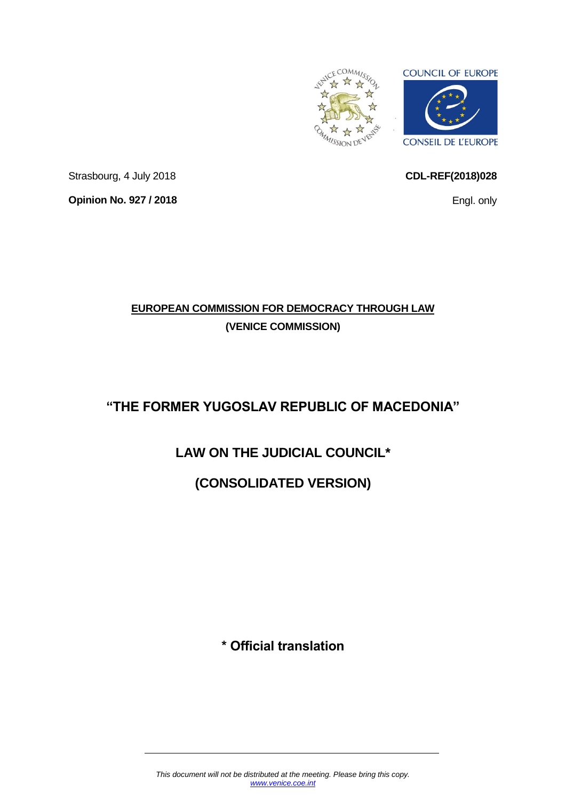

<span id="page-0-0"></span>**CDL-REF(2018)028**

Engl. only

Strasbourg, 4 July 2018 **Opinion No. 927 / 2018**

# **EUROPEAN COMMISSION FOR DEMOCRACY THROUGH LAW (VENICE COMMISSION)**

# **"THE FORMER YUGOSLAV REPUBLIC OF MACEDONIA"**

# **LAW ON THE JUDICIAL COUNCIL\***

# **(CONSOLIDATED VERSION)**

**\* Official translation**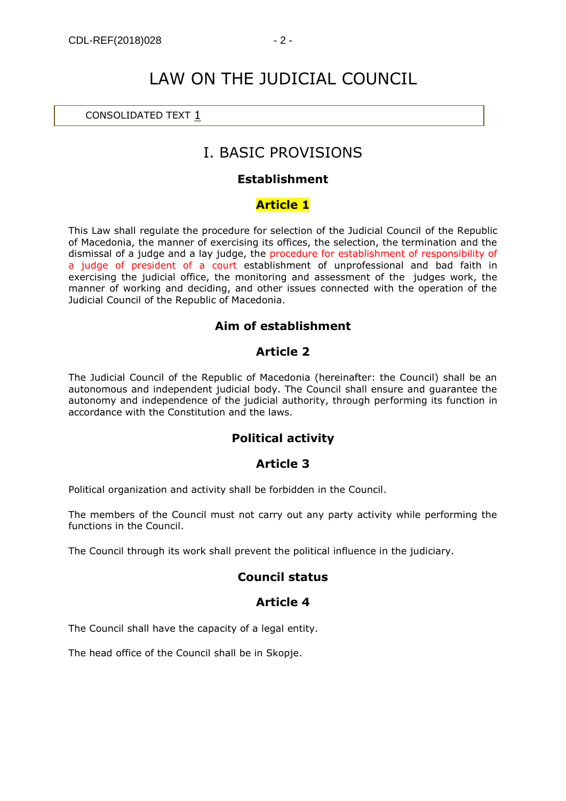# LAW ON THE JUDICIAL COUNCIL

#### CONSOLIDATED TEXT [1](https://www.akademika.com.mk/)

# I. BASIC PROVISIONS

#### **Establishment**

#### **Article 1**

This Law shall regulate the procedure for selection of the Judicial Council of the Republic of Macedonia, the manner of exercising its offices, the selection, the termination and the dismissal of a judge and a lay judge, the procedure for establishment of responsibility of a judge of president of a court establishment of unprofessional and bad faith in exercising the judicial office, the monitoring and assessment of the judges work, the manner of working and deciding, and other issues connected with the operation of the Judicial Council of the Republic of Macedonia.

#### **Aim of establishment**

#### **Article 2**

The Judicial Council of the Republic of Macedonia (hereinafter: the Council) shall be an autonomous and independent judicial body. The Council shall ensure and guarantee the autonomy and independence of the judicial authority, through performing its function in accordance with the Constitution and the laws.

## **Political activity**

#### **Article 3**

Political organization and activity shall be forbidden in the Council.

The members of the Council must not carry out any party activity while performing the functions in the Council.

The Council through its work shall prevent the political influence in the judiciary.

#### **Council status**

#### **Article 4**

The Council shall have the capacity of a legal entity.

The head office of the Council shall be in Skopje.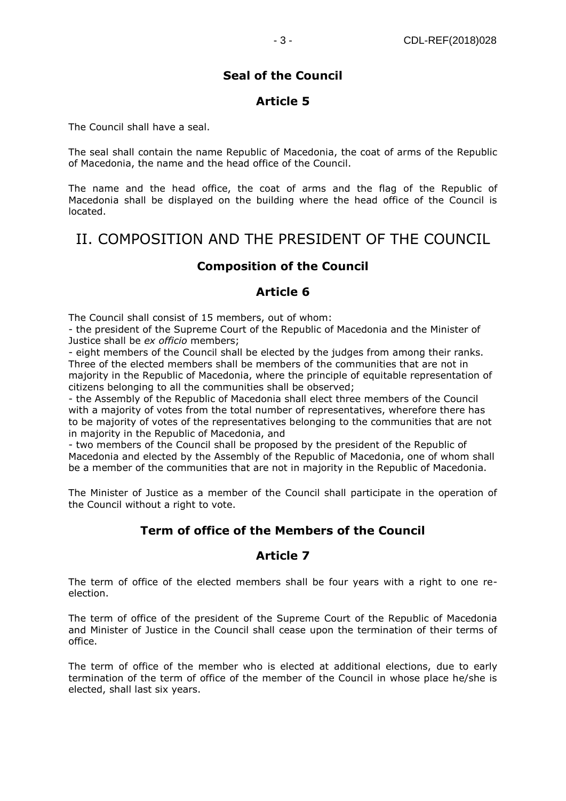## **Seal of the Council**

## **Article 5**

The Council shall have a seal.

The seal shall contain the name Republic of Macedonia, the coat of arms of the Republic of Macedonia, the name and the head office of the Council.

The name and the head office, the coat of arms and the flag of the Republic of Macedonia shall be displayed on the building where the head office of the Council is located.

# II. COMPOSITION AND THE PRESIDENT OF THE COUNCIL

#### **Composition of the Council**

#### **Article 6**

The Council shall consist of 15 members, out of whom:

- the president of the Supreme Court of the Republic of Macedonia and the Minister of Justice shall be *ex officio* members;

- eight members of the Council shall be elected by the judges from among their ranks. Three of the elected members shall be members of the communities that are not in majority in the Republic of Macedonia, where the principle of equitable representation of citizens belonging to all the communities shall be observed;

- the Assembly of the Republic of Macedonia shall elect three members of the Council with a majority of votes from the total number of representatives, wherefore there has to be majority of votes of the representatives belonging to the communities that are not in majority in the Republic of Macedonia, and

- two members of the Council shall be proposed by the president of the Republic of Macedonia and elected by the Assembly of the Republic of Macedonia, one of whom shall be a member of the communities that are not in majority in the Republic of Macedonia.

The Minister of Justice as a member of the Council shall participate in the operation of the Council without a right to vote.

## **Term of office of the Members of the Council**

## **Article 7**

The term of office of the elected members shall be four years with a right to one reelection.

The term of office of the president of the Supreme Court of the Republic of Macedonia and Minister of Justice in the Council shall cease upon the termination of their terms of office.

The term of office of the member who is elected at additional elections, due to early termination of the term of office of the member of the Council in whose place he/she is elected, shall last six years.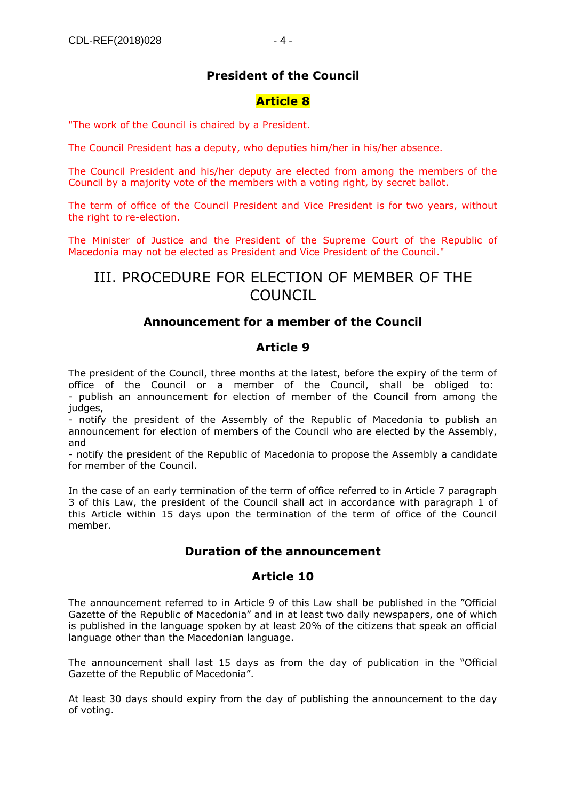## **President of the Council**

#### **Article 8**

"The work of the Council is chaired by a President.

The Council President has a deputy, who deputies him/her in his/her absence.

The Council President and his/her deputy are elected from among the members of the Council by a majority vote of the members with a voting right, by secret ballot.

The term of office of the Council President and Vice President is for two years, without the right to re-election.

The Minister of Justice and the President of the Supreme Court of the Republic of Macedonia may not be elected as President and Vice President of the Council."

# III. PROCEDURE FOR ELECTION OF MEMBER OF THE COUNCIL

#### **Announcement for a member of the Council**

#### **Article 9**

The president of the Council, three months at the latest, before the expiry of the term of office of the Council or a member of the Council, shall be obliged to: - publish an announcement for election of member of the Council from among the judges,

- notify the president of the Assembly of the Republic of Macedonia to publish an announcement for election of members of the Council who are elected by the Assembly, and

- notify the president of the Republic of Macedonia to propose the Assembly a candidate for member of the Council.

In the case of an early termination of the term of office referred to in Article 7 paragraph 3 of this Law, the president of the Council shall act in accordance with paragraph 1 of this Article within 15 days upon the termination of the term of office of the Council member.

#### **Duration of the announcement**

#### **Article 10**

The announcement referred to in Article 9 of this Law shall be published in the "Official Gazette of the Republic of Macedonia" and in at least two daily newspapers, one of which is published in the language spoken by at least 20% of the citizens that speak an official language other than the Macedonian language.

The announcement shall last 15 days as from the day of publication in the "Official Gazette of the Republic of Macedonia".

At least 30 days should expiry from the day of publishing the announcement to the day of voting.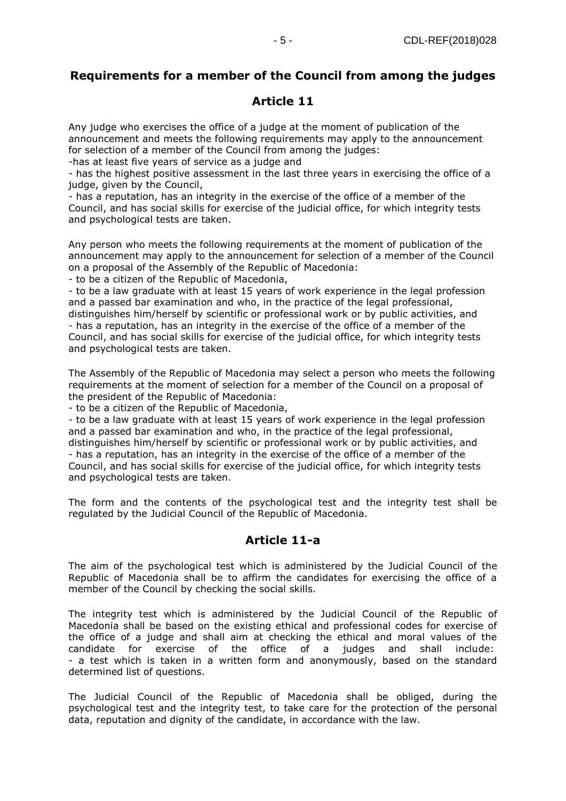## **Requirements for a member of the Council from among the judges**

#### **Article 11**

Any judge who exercises the office of a judge at the moment of publication of the announcement and meets the following requirements may apply to the announcement for selection of a member of the Council from among the judges:

-has at least five years of service as a judge and

- has the highest positive assessment in the last three years in exercising the office of a judge, given by the Council,

- has a reputation, has an integrity in the exercise of the office of a member of the Council, and has social skills for exercise of the judicial office, for which integrity tests and psychological tests are taken.

Any person who meets the following requirements at the moment of publication of the announcement may apply to the announcement for selection of a member of the Council on a proposal of the Assembly of the Republic of Macedonia:

- to be a citizen of the Republic of Macedonia,

- to be a law graduate with at least 15 years of work experience in the legal profession and a passed bar examination and who, in the practice of the legal professional, distinguishes him/herself by scientific or professional work or by public activities, and - has a reputation, has an integrity in the exercise of the office of a member of the Council, and has social skills for exercise of the judicial office, for which integrity tests and psychological tests are taken.

The Assembly of the Republic of Macedonia may select a person who meets the following requirements at the moment of selection for a member of the Council on a proposal of the president of the Republic of Macedonia:

- to be a citizen of the Republic of Macedonia,

- to be a law graduate with at least 15 years of work experience in the legal profession and a passed bar examination and who, in the practice of the legal professional, distinguishes him/herself by scientific or professional work or by public activities, and - has a reputation, has an integrity in the exercise of the office of a member of the Council, and has social skills for exercise of the judicial office, for which integrity tests and psychological tests are taken.

The form and the contents of the psychological test and the integrity test shall be regulated by the Judicial Council of the Republic of Macedonia.

## **Article 11-a**

The aim of the psychological test which is administered by the Judicial Council of the Republic of Macedonia shall be to affirm the candidates for exercising the office of a member of the Council by checking the social skills.

The integrity test which is administered by the Judicial Council of the Republic of Macedonia shall be based on the existing ethical and professional codes for exercise of the office of a judge and shall aim at checking the ethical and moral values of the candidate for exercise of the office of a judges and shall include: - a test which is taken in a written form and anonymously, based on the standard determined list of questions.

The Judicial Council of the Republic of Macedonia shall be obliged, during the psychological test and the integrity test, to take care for the protection of the personal data, reputation and dignity of the candidate, in accordance with the law.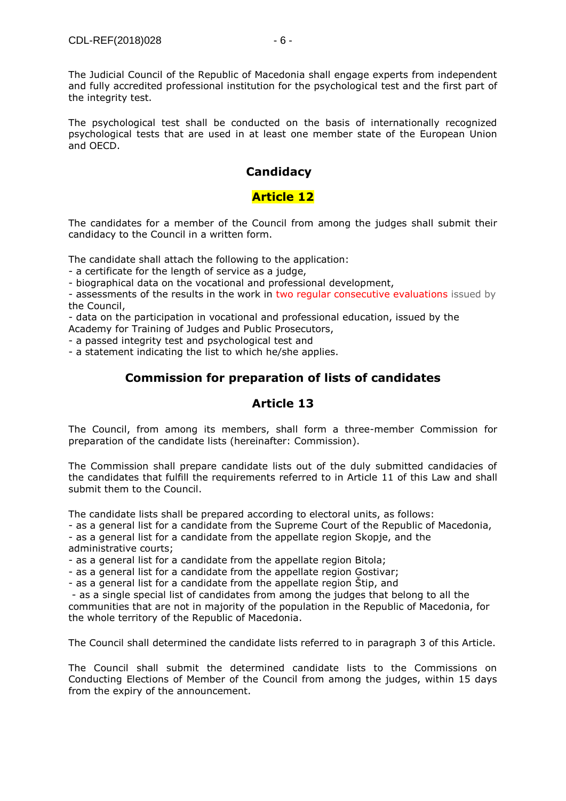The psychological test shall be conducted on the basis of internationally recognized psychological tests that are used in at least one member state of the European Union and OECD.

## **Candidacy**

## **Article 12**

The candidates for a member of the Council from among the judges shall submit their candidacy to the Council in a written form.

The candidate shall attach the following to the application:

- a certificate for the length of service as a judge,

- biographical data on the vocational and professional development,

- assessments of the results in the work in two regular consecutive evaluations issued by the Council,

- data on the participation in vocational and professional education, issued by the Academy for Training of Judges and Public Prosecutors,

- a passed integrity test and psychological test and

- a statement indicating the list to which he/she applies.

## **Commission for preparation of lists of candidates**

## **Article 13**

The Council, from among its members, shall form a three-member Commission for preparation of the candidate lists (hereinafter: Commission).

The Commission shall prepare candidate lists out of the duly submitted candidacies of the candidates that fulfill the requirements referred to in Article 11 of this Law and shall submit them to the Council.

The candidate lists shall be prepared according to electoral units, as follows:

- as a general list for a candidate from the Supreme Court of the Republic of Macedonia,

- as a general list for a candidate from the appellate region Skopje, and the administrative courts;

- as a general list for a candidate from the appellate region Bitola;

- as a general list for a candidate from the appellate region Gostivar;

- as a general list for a candidate from the appellate region Štip, and

- as a single special list of candidates from among the judges that belong to all the communities that are not in majority of the population in the Republic of Macedonia, for the whole territory of the Republic of Macedonia.

The Council shall determined the candidate lists referred to in paragraph 3 of this Article.

The Council shall submit the determined candidate lists to the Commissions on Conducting Elections of Member of the Council from among the judges, within 15 days from the expiry of the announcement.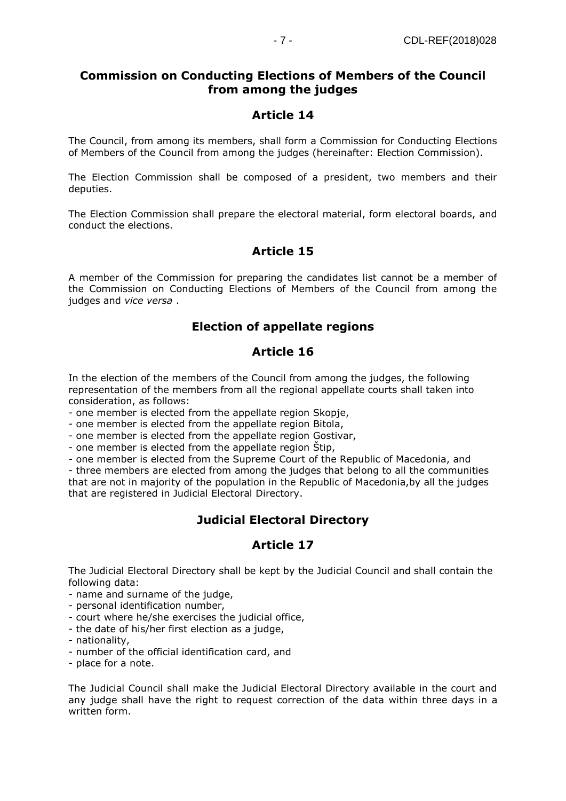## **Commission on Conducting Elections of Members of the Council from among the judges**

## **Article 14**

The Council, from among its members, shall form a Commission for Conducting Elections of Members of the Council from among the judges (hereinafter: Election Commission).

The Election Commission shall be composed of a president, two members and their deputies.

The Election Commission shall prepare the electoral material, form electoral boards, and conduct the elections.

## **Article 15**

A member of the Commission for preparing the candidates list cannot be a member of the Commission on Conducting Elections of Members of the Council from among the judges and *vice versa* .

## **Election of appellate regions**

## **Article 16**

In the election of the members of the Council from among the judges, the following representation of the members from all the regional appellate courts shall taken into consideration, as follows:

- one member is elected from the appellate region Skopje,

- one member is elected from the appellate region Bitola,

- one member is elected from the appellate region Gostivar,

- one member is elected from the appellate region Štip,

- one member is elected from the Supreme Court of the Republic of Macedonia, and

- three members are elected from among the judges that belong to all the communities that are not in majority of the population in the Republic of Macedonia,by all the judges that are registered in Judicial Electoral Directory.

## **Judicial Electoral Directory**

## **Article 17**

The Judicial Electoral Directory shall be kept by the Judicial Council and shall contain the following data:

- name and surname of the judge,

- personal identification number,

- court where he/she exercises the judicial office,

- the date of his/her first election as a judge,

- nationality,

- number of the official identification card, and

- place for a note.

The Judicial Council shall make the Judicial Electoral Directory available in the court and any judge shall have the right to request correction of the data within three days in a written form.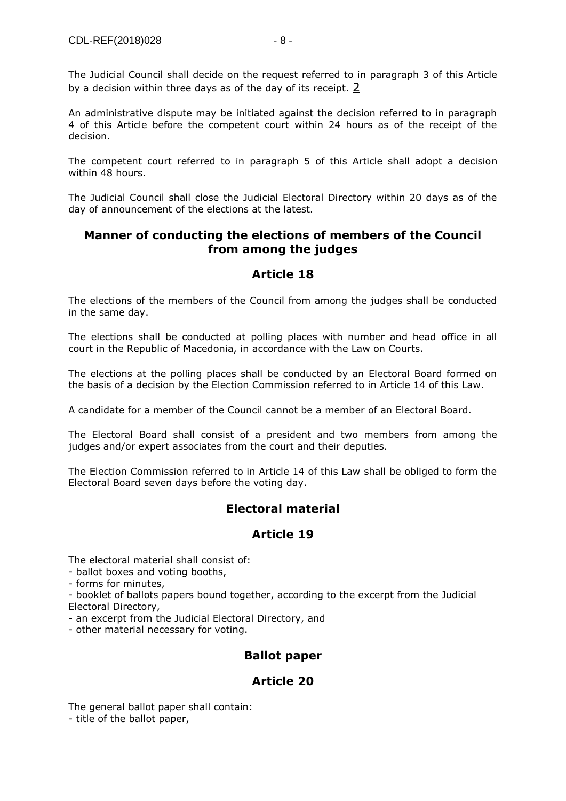An administrative dispute may be initiated against the decision referred to in paragraph 4 of this Article before the competent court within 24 hours as of the receipt of the decision.

The competent court referred to in paragraph 5 of this Article shall adopt a decision within 48 hours.

The Judicial Council shall close the Judicial Electoral Directory within 20 days as of the day of announcement of the elections at the latest.

## **Manner of conducting the elections of members of the Council from among the judges**

## **Article 18**

The elections of the members of the Council from among the judges shall be conducted in the same day.

The elections shall be conducted at polling places with number and head office in all court in the Republic of Macedonia, in accordance with the Law on Courts.

The elections at the polling places shall be conducted by an Electoral Board formed on the basis of a decision by the Election Commission referred to in Article 14 of this Law.

A candidate for a member of the Council cannot be a member of an Electoral Board.

The Electoral Board shall consist of a president and two members from among the judges and/or expert associates from the court and their deputies.

The Election Commission referred to in Article 14 of this Law shall be obliged to form the Electoral Board seven days before the voting day.

## **Electoral material**

## **Article 19**

The electoral material shall consist of:

- ballot boxes and voting booths,

- forms for minutes,

- booklet of ballots papers bound together, according to the excerpt from the Judicial Electoral Directory,

- an excerpt from the Judicial Electoral Directory, and

- other material necessary for voting.

## **Ballot paper**

## **Article 20**

The general ballot paper shall contain:

- title of the ballot paper,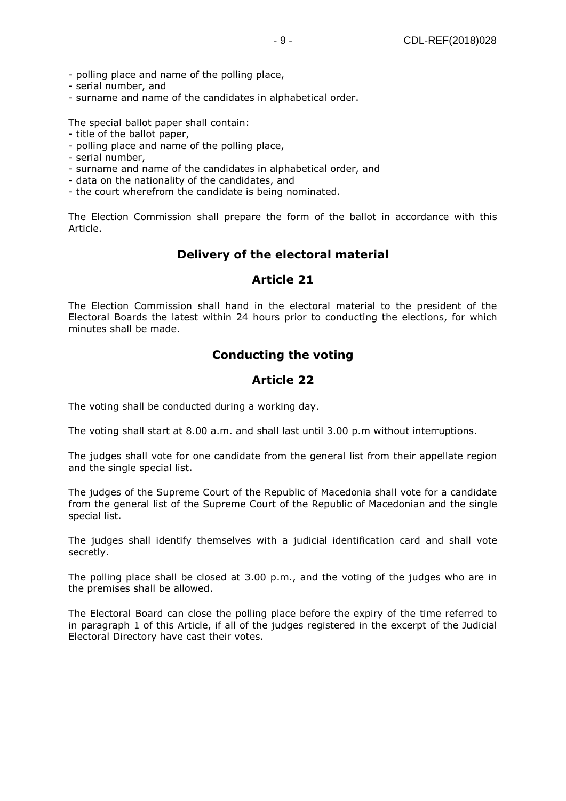- polling place and name of the polling place,
- serial number, and
- surname and name of the candidates in alphabetical order.

The special ballot paper shall contain:

- title of the ballot paper,
- polling place and name of the polling place,
- serial number,
- surname and name of the candidates in alphabetical order, and
- data on the nationality of the candidates, and
- the court wherefrom the candidate is being nominated.

The Election Commission shall prepare the form of the ballot in accordance with this Article.

## **Delivery of the electoral material**

#### **Article 21**

The Election Commission shall hand in the electoral material to the president of the Electoral Boards the latest within 24 hours prior to conducting the elections, for which minutes shall be made.

## **Conducting the voting**

## **Article 22**

The voting shall be conducted during a working day.

The voting shall start at 8.00 a.m. and shall last until 3.00 p.m without interruptions.

The judges shall vote for one candidate from the general list from their appellate region and the single special list.

The judges of the Supreme Court of the Republic of Macedonia shall vote for a candidate from the general list of the Supreme Court of the Republic of Macedonian and the single special list.

The judges shall identify themselves with a judicial identification card and shall vote secretly.

The polling place shall be closed at 3.00 p.m., and the voting of the judges who are in the premises shall be allowed.

The Electoral Board can close the polling place before the expiry of the time referred to in paragraph 1 of this Article, if all of the judges registered in the excerpt of the Judicial Electoral Directory have cast their votes.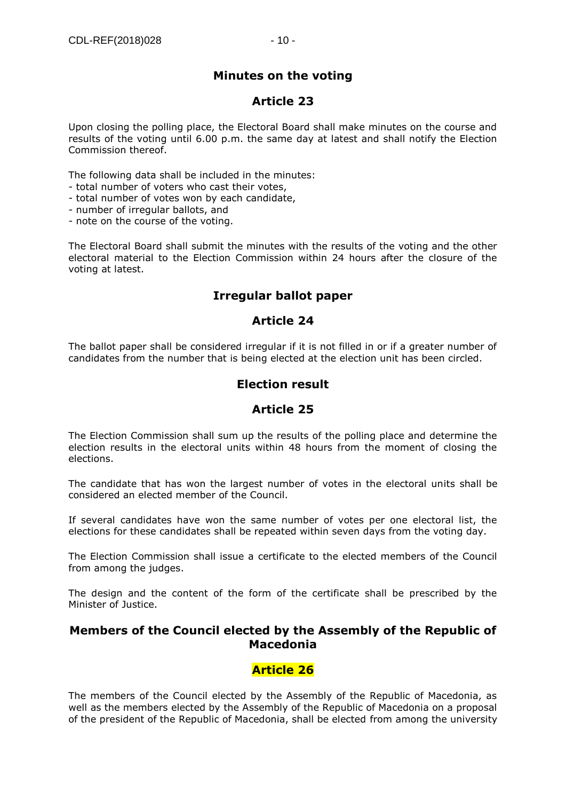## **Minutes on the voting**

#### **Article 23**

Upon closing the polling place, the Electoral Board shall make minutes on the course and results of the voting until 6.00 p.m. the same day at latest and shall notify the Election Commission thereof.

The following data shall be included in the minutes:

- total number of voters who cast their votes,
- total number of votes won by each candidate,
- number of irregular ballots, and
- note on the course of the voting.

The Electoral Board shall submit the minutes with the results of the voting and the other electoral material to the Election Commission within 24 hours after the closure of the voting at latest.

## **Irregular ballot paper**

#### **Article 24**

The ballot paper shall be considered irregular if it is not filled in or if a greater number of candidates from the number that is being elected at the election unit has been circled.

## **Election result**

## **Article 25**

The Election Commission shall sum up the results of the polling place and determine the election results in the electoral units within 48 hours from the moment of closing the elections.

The candidate that has won the largest number of votes in the electoral units shall be considered an elected member of the Council.

If several candidates have won the same number of votes per one electoral list, the elections for these candidates shall be repeated within seven days from the voting day.

The Election Commission shall issue a certificate to the elected members of the Council from among the judges.

The design and the content of the form of the certificate shall be prescribed by the Minister of Justice.

#### **Members of the Council elected by the Assembly of the Republic of Macedonia**

## **Article 26**

The members of the Council elected by the Assembly of the Republic of Macedonia, as well as the members elected by the Assembly of the Republic of Macedonia on a proposal of the president of the Republic of Macedonia, shall be elected from among the university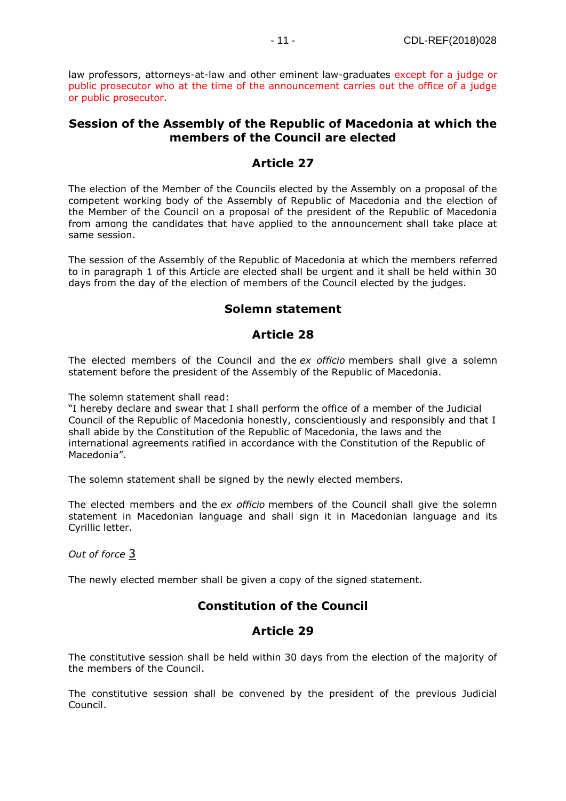law professors, attorneys-at-law and other eminent law-graduates except for a judge or public prosecutor who at the time of the announcement carries out the office of a judge or public prosecutor.

#### **Session of the Assembly of the Republic of Macedonia at which the members of the Council are elected**

#### **Article 27**

The election of the Member of the Councils elected by the Assembly on a proposal of the competent working body of the Assembly of Republic of Macedonia and the election of the Member of the Council on a proposal of the president of the Republic of Macedonia from among the candidates that have applied to the announcement shall take place at same session.

The session of the Assembly of the Republic of Macedonia at which the members referred to in paragraph 1 of this Article are elected shall be urgent and it shall be held within 30 days from the day of the election of members of the Council elected by the judges.

#### **Solemn statement**

#### **Article 28**

The elected members of the Council and the *ex officio* members shall give a solemn statement before the president of the Assembly of the Republic of Macedonia.

The solemn statement shall read:

"I hereby declare and swear that I shall perform the office of a member of the Judicial Council of the Republic of Macedonia honestly, conscientiously and responsibly and that I shall abide by the Constitution of the Republic of Macedonia, the laws and the international agreements ratified in accordance with the Constitution of the Republic of Macedonia".

The solemn statement shall be signed by the newly elected members.

The elected members and the *ex officio* members of the Council shall give the solemn statement in Macedonian language and shall sign it in Macedonian language and its Cyrillic letter.

*Out of force* [3](https://www.akademika.com.mk/)

The newly elected member shall be given a copy of the signed statement.

## **Constitution of the Council**

## **Article 29**

The constitutive session shall be held within 30 days from the election of the majority of the members of the Council.

The constitutive session shall be convened by the president of the previous Judicial Council.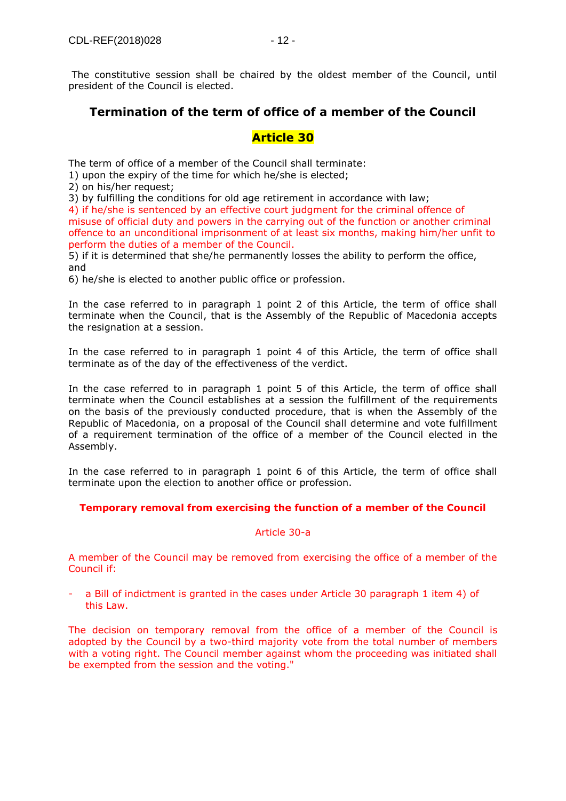The constitutive session shall be chaired by the oldest member of the Council, until president of the Council is elected.

## **Termination of the term of office of a member of the Council**

#### **Article 30**

The term of office of a member of the Council shall terminate:

1) upon the expiry of the time for which he/she is elected;

2) on his/her request;

3) by fulfilling the conditions for old age retirement in accordance with law;

4) if he/she is sentenced by an effective court judgment for the criminal offence of misuse of official duty and powers in the carrying out of the function or another criminal offence to an unconditional imprisonment of at least six months, making him/her unfit to perform the duties of a member of the Council.

5) if it is determined that she/he permanently losses the ability to perform the office, and

6) he/she is elected to another public office or profession.

In the case referred to in paragraph 1 point 2 of this Article, the term of office shall terminate when the Council, that is the Assembly of the Republic of Macedonia accepts the resignation at a session.

In the case referred to in paragraph 1 point 4 of this Article, the term of office shall terminate as of the day of the effectiveness of the verdict.

In the case referred to in paragraph 1 point 5 of this Article, the term of office shall terminate when the Council establishes at a session the fulfillment of the requirements on the basis of the previously conducted procedure, that is when the Assembly of the Republic of Macedonia, on a proposal of the Council shall determine and vote fulfillment of a requirement termination of the office of a member of the Council elected in the Assembly.

In the case referred to in paragraph 1 point 6 of this Article, the term of office shall terminate upon the election to another office or profession.

#### **Temporary removal from exercising the function of a member of the Council**

#### Article 30-a

A member of the Council may be removed from exercising the office of a member of the Council if:

a Bill of indictment is granted in the cases under Article 30 paragraph 1 item 4) of this Law.

The decision on temporary removal from the office of a member of the Council is adopted by the Council by a two-third majority vote from the total number of members with a voting right. The Council member against whom the proceeding was initiated shall be exempted from the session and the voting."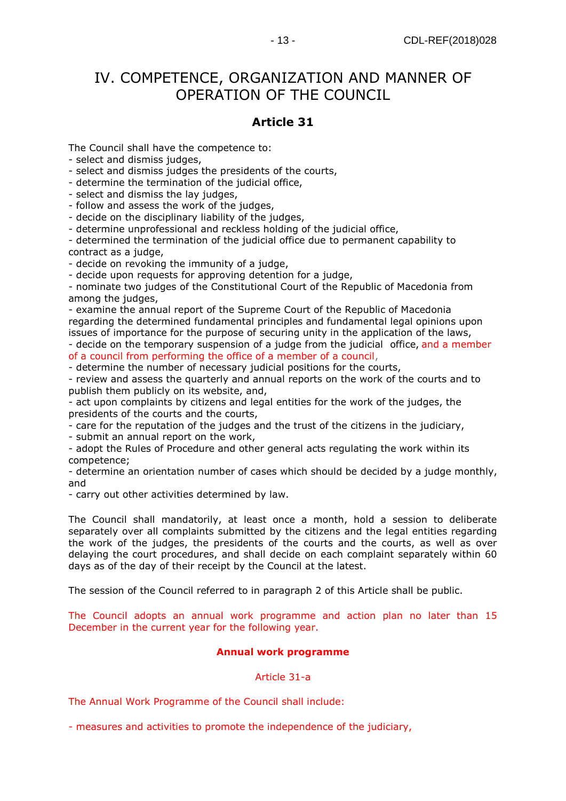# IV. COMPETENCE, ORGANIZATION AND MANNER OF OPERATION OF THE COUNCIL

# **Article 31**

The Council shall have the competence to:

- select and dismiss judges,

- select and dismiss judges the presidents of the courts,

- determine the termination of the judicial office,

- select and dismiss the lay judges,

- follow and assess the work of the judges,

- decide on the disciplinary liability of the judges,

- determine unprofessional and reckless holding of the judicial office,

- determined the termination of the judicial office due to permanent capability to contract as a judge,

- decide on revoking the immunity of a judge,

- decide upon requests for approving detention for a judge,

- nominate two judges of the Constitutional Court of the Republic of Macedonia from among the judges,

- examine the annual report of the Supreme Court of the Republic of Macedonia regarding the determined fundamental principles and fundamental legal opinions upon issues of importance for the purpose of securing unity in the application of the laws,

- decide on the temporary suspension of a judge from the judicial office, and a member of a council from performing the office of a member of a council,

- determine the number of necessary judicial positions for the courts,

- review and assess the quarterly and annual reports on the work of the courts and to publish them publicly on its website, and,

- act upon complaints by citizens and legal entities for the work of the judges, the presidents of the courts and the courts,

- care for the reputation of the judges and the trust of the citizens in the judiciary,

- submit an annual report on the work,

- adopt the Rules of Procedure and other general acts regulating the work within its competence;

- determine an orientation number of cases which should be decided by a judge monthly, and

- carry out other activities determined by law.

The Council shall mandatorily, at least once a month, hold a session to deliberate separately over all complaints submitted by the citizens and the legal entities regarding the work of the judges, the presidents of the courts and the courts, as well as over delaying the court procedures, and shall decide on each complaint separately within 60 days as of the day of their receipt by the Council at the latest.

The session of the Council referred to in paragraph 2 of this Article shall be public.

The Council adopts an annual work programme and action plan no later than 15 December in the current year for the following year.

## **Annual work programme**

## Article 31-a

The Annual Work Programme of the Council shall include:

- measures and activities to promote the independence of the judiciary,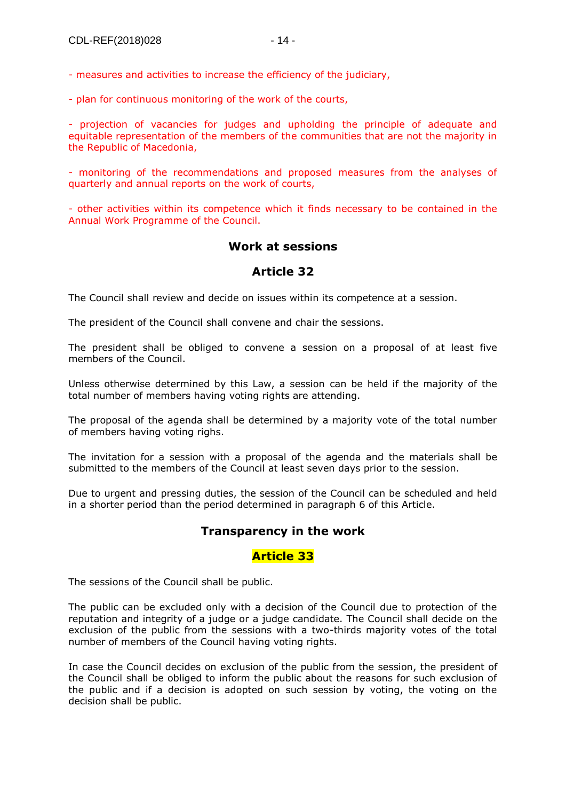- measures and activities to increase the efficiency of the judiciary,

- plan for continuous monitoring of the work of the courts,

- projection of vacancies for judges and upholding the principle of adequate and equitable representation of the members of the communities that are not the majority in the Republic of Macedonia,

- monitoring of the recommendations and proposed measures from the analyses of quarterly and annual reports on the work of courts,

- other activities within its competence which it finds necessary to be contained in the Annual Work Programme of the Council.

#### **Work at sessions**

#### **Article 32**

The Council shall review and decide on issues within its competence at a session.

The president of the Council shall convene and chair the sessions.

The president shall be obliged to convene a session on a proposal of at least five members of the Council.

Unless otherwise determined by this Law, a session can be held if the majority of the total number of members having voting rights are attending.

The proposal of the agenda shall be determined by a majority vote of the total number of members having voting righs.

The invitation for a session with a proposal of the agenda and the materials shall be submitted to the members of the Council at least seven days prior to the session.

Due to urgent and pressing duties, the session of the Council can be scheduled and held in a shorter period than the period determined in paragraph 6 of this Article.

#### **Transparency in the work**

#### **Article 33**

The sessions of the Council shall be public.

The public can be excluded only with a decision of the Council due to protection of the reputation and integrity of a judge or a judge candidate. The Council shall decide on the exclusion of the public from the sessions with a two-thirds majority votes of the total number of members of the Council having voting rights.

In case the Council decides on exclusion of the public from the session, the president of the Council shall be obliged to inform the public about the reasons for such exclusion of the public and if a decision is adopted on such session by voting, the voting on the decision shall be public.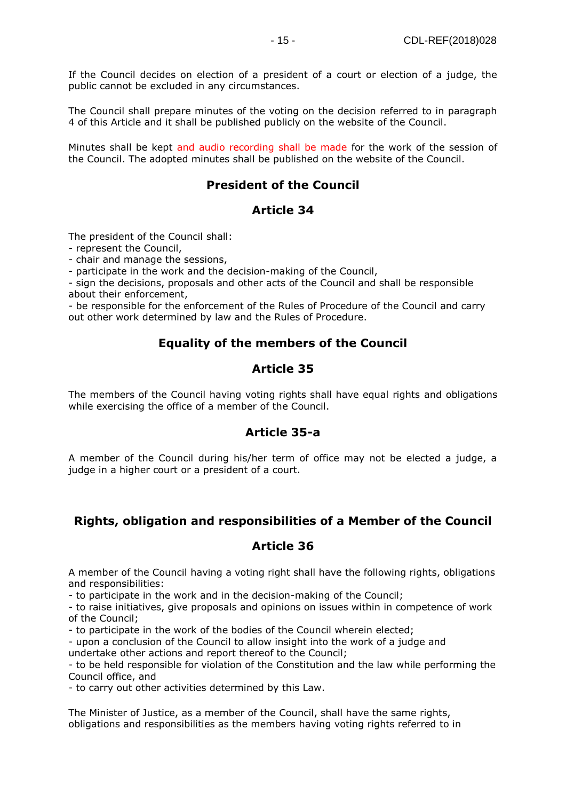If the Council decides on election of a president of a court or election of a judge, the public cannot be excluded in any circumstances.

The Council shall prepare minutes of the voting on the decision referred to in paragraph 4 of this Article and it shall be published publicly on the website of the Council.

Minutes shall be kept and audio recording shall be made for the work of the session of the Council. The adopted minutes shall be published on the website of the Council.

#### **President of the Council**

#### **Article 34**

The president of the Council shall:

- represent the Council,

- chair and manage the sessions,

- participate in the work and the decision-making of the Council,

- sign the decisions, proposals and other acts of the Council and shall be responsible about their enforcement,

- be responsible for the enforcement of the Rules of Procedure of the Council and carry out other work determined by law and the Rules of Procedure.

#### **Equality of the members of the Council**

#### **Article 35**

The members of the Council having voting rights shall have equal rights and obligations while exercising the office of a member of the Council.

#### **Article 35-a**

A member of the Council during his/her term of office may not be elected a judge, a judge in a higher court or a president of a court.

#### **Rights, obligation and responsibilities of a Member of the Council**

#### **Article 36**

A member of the Council having a voting right shall have the following rights, obligations and responsibilities:

- to participate in the work and in the decision-making of the Council;

- to raise initiatives, give proposals and opinions on issues within in competence of work of the Council;

- to participate in the work of the bodies of the Council wherein elected;

- upon a conclusion of the Council to allow insight into the work of a judge and undertake other actions and report thereof to the Council;

- to be held responsible for violation of the Constitution and the law while performing the Council office, and

- to carry out other activities determined by this Law.

The Minister of Justice, as a member of the Council, shall have the same rights, obligations and responsibilities as the members having voting rights referred to in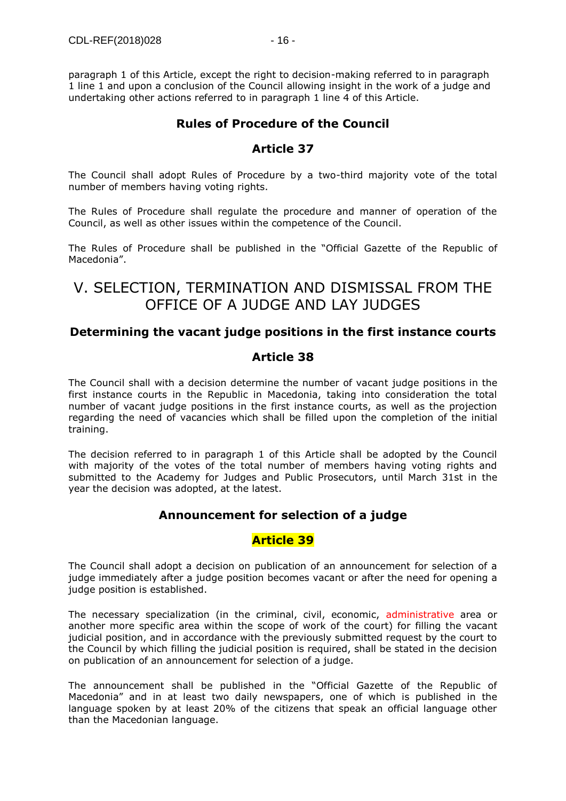paragraph 1 of this Article, except the right to decision-making referred to in paragraph 1 line 1 and upon a conclusion of the Council allowing insight in the work of a judge and undertaking other actions referred to in paragraph 1 line 4 of this Article.

## **Rules of Procedure of the Council**

#### **Article 37**

The Council shall adopt Rules of Procedure by a two-third majority vote of the total number of members having voting rights.

The Rules of Procedure shall regulate the procedure and manner of operation of the Council, as well as other issues within the competence of the Council.

The Rules of Procedure shall be published in the "Official Gazette of the Republic of Macedonia".

# V. SELECTION, TERMINATION AND DISMISSAL FROM THE OFFICE OF A JUDGE AND LAY JUDGES

#### **Determining the vacant judge positions in the first instance courts**

#### **Article 38**

The Council shall with a decision determine the number of vacant judge positions in the first instance courts in the Republic in Macedonia, taking into consideration the total number of vacant judge positions in the first instance courts, as well as the projection regarding the need of vacancies which shall be filled upon the completion of the initial training.

The decision referred to in paragraph 1 of this Article shall be adopted by the Council with majority of the votes of the total number of members having voting rights and submitted to the Academy for Judges and Public Prosecutors, until March 31st in the year the decision was adopted, at the latest.

#### **Announcement for selection of a judge**

#### **Article 39**

The Council shall adopt a decision on publication of an announcement for selection of a judge immediately after a judge position becomes vacant or after the need for opening a judge position is established.

The necessary specialization (in the criminal, civil, economic, administrative area or another more specific area within the scope of work of the court) for filling the vacant judicial position, and in accordance with the previously submitted request by the court to the Council by which filling the judicial position is required, shall be stated in the decision on publication of an announcement for selection of a judge.

The announcement shall be published in the "Official Gazette of the Republic of Macedonia" and in at least two daily newspapers, one of which is published in the language spoken by at least 20% of the citizens that speak an official language other than the Macedonian language.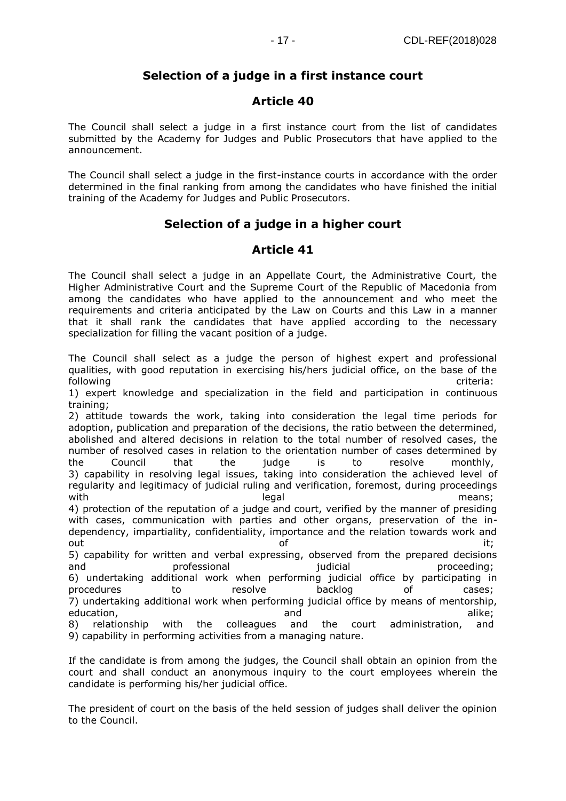## **Selection of a judge in a first instance court**

## **Article 40**

The Council shall select a judge in a first instance court from the list of candidates submitted by the Academy for Judges and Public Prosecutors that have applied to the announcement.

The Council shall select a judge in the first-instance courts in accordance with the order determined in the final ranking from among the candidates who have finished the initial training of the Academy for Judges and Public Prosecutors.

## **Selection of a judge in a higher court**

## **Article 41**

The Council shall select a judge in an Appellate Court, the Administrative Court, the Higher Administrative Court and the Supreme Court of the Republic of Macedonia from among the candidates who have applied to the announcement and who meet the requirements and criteria anticipated by the Law on Courts and this Law in a manner that it shall rank the candidates that have applied according to the necessary specialization for filling the vacant position of a judge.

The Council shall select as a judge the person of highest expert and professional qualities, with good reputation in exercising his/hers judicial office, on the base of the following criteria:

1) expert knowledge and specialization in the field and participation in continuous training;

2) attitude towards the work, taking into consideration the legal time periods for adoption, publication and preparation of the decisions, the ratio between the determined, abolished and altered decisions in relation to the total number of resolved cases, the number of resolved cases in relation to the orientation number of cases determined by the Council that the judge is to resolve monthly, 3) capability in resolving legal issues, taking into consideration the achieved level of regularity and legitimacy of judicial ruling and verification, foremost, during proceedings with the contract of the legal contract of the contract of the legal contract of the means; 4) protection of the reputation of a judge and court, verified by the manner of presiding with cases, communication with parties and other organs, preservation of the independency, impartiality, confidentiality, importance and the relation towards work and out the contract of the contract of the contract of the contract of the contract of the contract of the contract of 5) capability for written and verbal expressing, observed from the prepared decisions and professional professional proceeding; 6) undertaking additional work when performing judicial office by participating in procedures to the resolve backlog of cases; 7) undertaking additional work when performing judicial office by means of mentorship, education, and alike: and alike: 8) relationship with the colleagues and the court administration, and

9) capability in performing activities from a managing nature.

If the candidate is from among the judges, the Council shall obtain an opinion from the court and shall conduct an anonymous inquiry to the court employees wherein the candidate is performing his/her judicial office.

The president of court on the basis of the held session of judges shall deliver the opinion to the Council.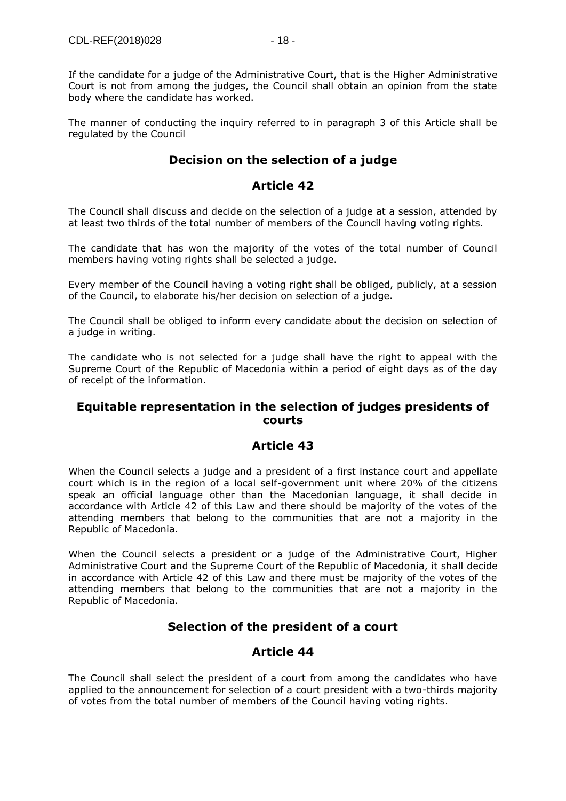If the candidate for a judge of the Administrative Court, that is the Higher Administrative Court is not from among the judges, the Council shall obtain an opinion from the state body where the candidate has worked.

The manner of conducting the inquiry referred to in paragraph 3 of this Article shall be regulated by the Council

## **Decision on the selection of a judge**

#### **Article 42**

The Council shall discuss and decide on the selection of a judge at a session, attended by at least two thirds of the total number of members of the Council having voting rights.

The candidate that has won the majority of the votes of the total number of Council members having voting rights shall be selected a judge.

Every member of the Council having a voting right shall be obliged, publicly, at a session of the Council, to elaborate his/her decision on selection of a judge.

The Council shall be obliged to inform every candidate about the decision on selection of a judge in writing.

The candidate who is not selected for a judge shall have the right to appeal with the Supreme Court of the Republic of Macedonia within a period of eight days as of the day of receipt of the information.

#### **Equitable representation in the selection of judges presidents of courts**

## **Article 43**

When the Council selects a judge and a president of a first instance court and appellate court which is in the region of a local self-government unit where 20% of the citizens speak an official language other than the Macedonian language, it shall decide in accordance with Article 42 of this Law and there should be majority of the votes of the attending members that belong to the communities that are not a majority in the Republic of Macedonia.

When the Council selects a president or a judge of the Administrative Court, Higher Administrative Court and the Supreme Court of the Republic of Macedonia, it shall decide in accordance with Article 42 of this Law and there must be majority of the votes of the attending members that belong to the communities that are not a majority in the Republic of Macedonia.

## **Selection of the president of a court**

#### **Article 44**

The Council shall select the president of a court from among the candidates who have applied to the announcement for selection of a court president with a two-thirds majority of votes from the total number of members of the Council having voting rights.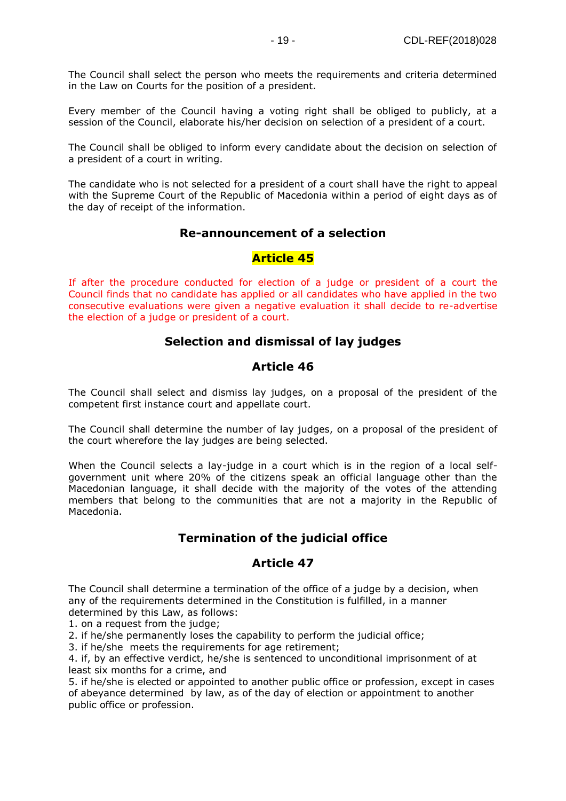The Council shall select the person who meets the requirements and criteria determined in the Law on Courts for the position of a president.

Every member of the Council having a voting right shall be obliged to publicly, at a session of the Council, elaborate his/her decision on selection of a president of a court.

The Council shall be obliged to inform every candidate about the decision on selection of a president of a court in writing.

The candidate who is not selected for a president of a court shall have the right to appeal with the Supreme Court of the Republic of Macedonia within a period of eight days as of the day of receipt of the information.

#### **Re-announcement of a selection**

#### **Article 45**

If after the procedure conducted for election of a judge or president of a court the Council finds that no candidate has applied or all candidates who have applied in the two consecutive evaluations were given a negative evaluation it shall decide to re-advertise the election of a judge or president of a court.

#### **Selection and dismissal of lay judges**

#### **Article 46**

The Council shall select and dismiss lay judges, on a proposal of the president of the competent first instance court and appellate court.

The Council shall determine the number of lay judges, on a proposal of the president of the court wherefore the lay judges are being selected.

When the Council selects a lay-judge in a court which is in the region of a local selfgovernment unit where 20% of the citizens speak an official language other than the Macedonian language, it shall decide with the majority of the votes of the attending members that belong to the communities that are not a majority in the Republic of Macedonia.

## **Termination of the judicial office**

#### **Article 47**

The Council shall determine a termination of the office of a judge by a decision, when any of the requirements determined in the Constitution is fulfilled, in a manner determined by this Law, as follows:

1. on a request from the judge;

2. if he/she permanently loses the capability to perform the judicial office;

3. if he/she meets the requirements for age retirement;

4. if, by an effective verdict, he/she is sentenced to unconditional imprisonment of at least six months for a crime, and

5. if he/she is elected or appointed to another public office or profession, except in cases of abeyance determined by law, as of the day of election or appointment to another public office or profession.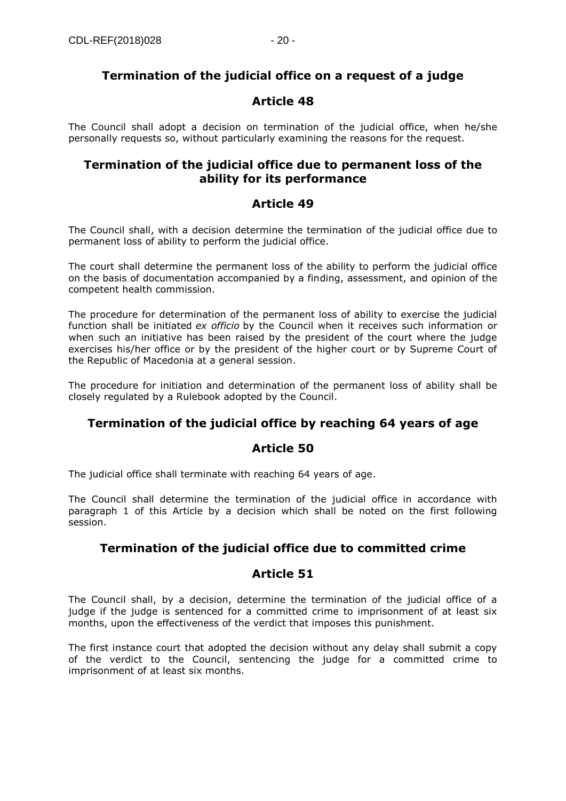## **Termination of the judicial office on a request of a judge**

#### **Article 48**

The Council shall adopt a decision on termination of the judicial office, when he/she personally requests so, without particularly examining the reasons for the request.

#### **Termination of the judicial office due to permanent loss of the ability for its performance**

## **Article 49**

The Council shall, with a decision determine the termination of the judicial office due to permanent loss of ability to perform the judicial office.

The court shall determine the permanent loss of the ability to perform the judicial office on the basis of documentation accompanied by a finding, assessment, and opinion of the competent health commission.

The procedure for determination of the permanent loss of ability to exercise the judicial function shall be initiated *ex officio* by the Council when it receives such information or when such an initiative has been raised by the president of the court where the judge exercises his/her office or by the president of the higher court or by Supreme Court of the Republic of Macedonia at a general session.

The procedure for initiation and determination of the permanent loss of ability shall be closely regulated by a Rulebook adopted by the Council.

## **Termination of the judicial office by reaching 64 years of age**

## **Article 50**

The judicial office shall terminate with reaching 64 years of age.

The Council shall determine the termination of the judicial office in accordance with paragraph 1 of this Article by a decision which shall be noted on the first following session.

## **Termination of the judicial office due to committed crime**

## **Article 51**

The Council shall, by a decision, determine the termination of the judicial office of a judge if the judge is sentenced for a committed crime to imprisonment of at least six months, upon the effectiveness of the verdict that imposes this punishment.

The first instance court that adopted the decision without any delay shall submit a copy of the verdict to the Council, sentencing the judge for a committed crime to imprisonment of at least six months.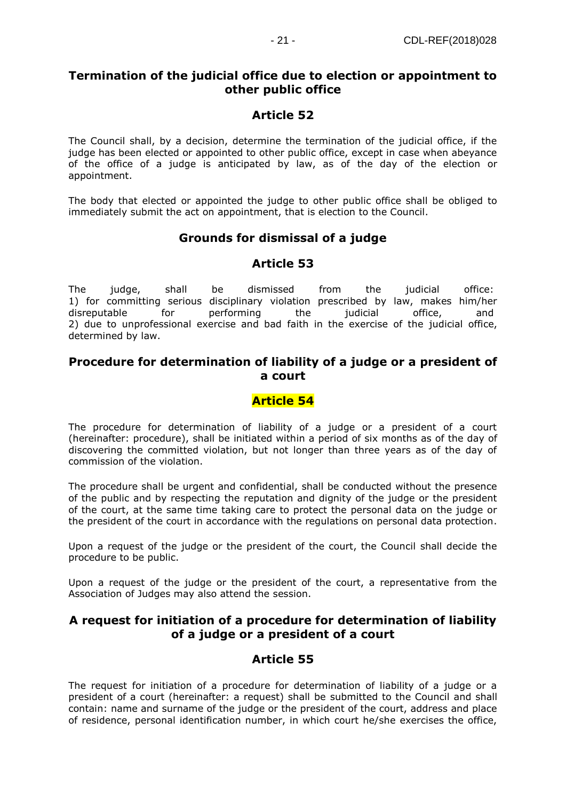## **Termination of the judicial office due to election or appointment to other public office**

# **Article 52**

The Council shall, by a decision, determine the termination of the judicial office, if the judge has been elected or appointed to other public office, except in case when abeyance of the office of a judge is anticipated by law, as of the day of the election or appointment.

The body that elected or appointed the judge to other public office shall be obliged to immediately submit the act on appointment, that is election to the Council.

# **Grounds for dismissal of a judge**

# **Article 53**

The judge, shall be dismissed from the judicial office: 1) for committing serious disciplinary violation prescribed by law, makes him/her disreputable for performing the judicial office, and 2) due to unprofessional exercise and bad faith in the exercise of the judicial office, determined by law.

## **Procedure for determination of liability of a judge or a president of a court**

# **Article 54**

The procedure for determination of liability of a judge or a president of a court (hereinafter: procedure), shall be initiated within a period of six months as of the day of discovering the committed violation, but not longer than three years as of the day of commission of the violation.

The procedure shall be urgent and confidential, shall be conducted without the presence of the public and by respecting the reputation and dignity of the judge or the president of the court, at the same time taking care to protect the personal data on the judge or the president of the court in accordance with the regulations on personal data protection.

Upon a request of the judge or the president of the court, the Council shall decide the procedure to be public.

Upon a request of the judge or the president of the court, a representative from the Association of Judges may also attend the session.

## **A request for initiation of a procedure for determination of liability of a judge or a president of a court**

## **Article 55**

The request for initiation of a procedure for determination of liability of a judge or a president of a court (hereinafter: a request) shall be submitted to the Council and shall contain: name and surname of the judge or the president of the court, address and place of residence, personal identification number, in which court he/she exercises the office,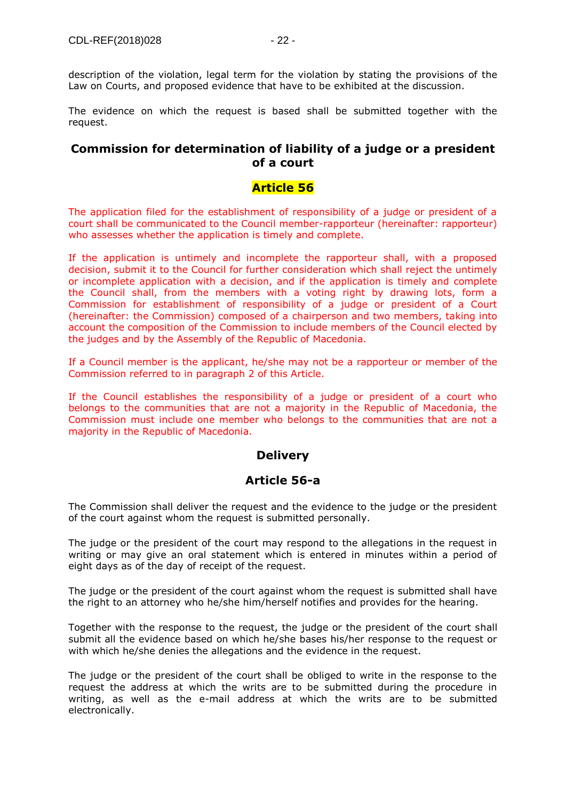description of the violation, legal term for the violation by stating the provisions of the Law on Courts, and proposed evidence that have to be exhibited at the discussion.

The evidence on which the request is based shall be submitted together with the request.

#### **Commission for determination of liability of a judge or a president of a court**

#### **Article 56**

The application filed for the establishment of responsibility of a judge or president of a court shall be communicated to the Council member-rapporteur (hereinafter: rapporteur) who assesses whether the application is timely and complete.

If the application is untimely and incomplete the rapporteur shall, with a proposed decision, submit it to the Council for further consideration which shall reject the untimely or incomplete application with a decision, and if the application is timely and complete the Council shall, from the members with a voting right by drawing lots, form a Commission for establishment of responsibility of a judge or president of a Court (hereinafter: the Commission) composed of a chairperson and two members, taking into account the composition of the Commission to include members of the Council elected by the judges and by the Assembly of the Republic of Macedonia.

If a Council member is the applicant, he/she may not be a rapporteur or member of the Commission referred to in paragraph 2 of this Article.

If the Council establishes the responsibility of a judge or president of a court who belongs to the communities that are not a majority in the Republic of Macedonia, the Commission must include one member who belongs to the communities that are not a majority in the Republic of Macedonia.

#### **Delivery**

#### **Article 56-a**

The Commission shall deliver the request and the evidence to the judge or the president of the court against whom the request is submitted personally.

The judge or the president of the court may respond to the allegations in the request in writing or may give an oral statement which is entered in minutes within a period of eight days as of the day of receipt of the request.

The judge or the president of the court against whom the request is submitted shall have the right to an attorney who he/she him/herself notifies and provides for the hearing.

Together with the response to the request, the judge or the president of the court shall submit all the evidence based on which he/she bases his/her response to the request or with which he/she denies the allegations and the evidence in the request.

The judge or the president of the court shall be obliged to write in the response to the request the address at which the writs are to be submitted during the procedure in writing, as well as the e-mail address at which the writs are to be submitted electronically.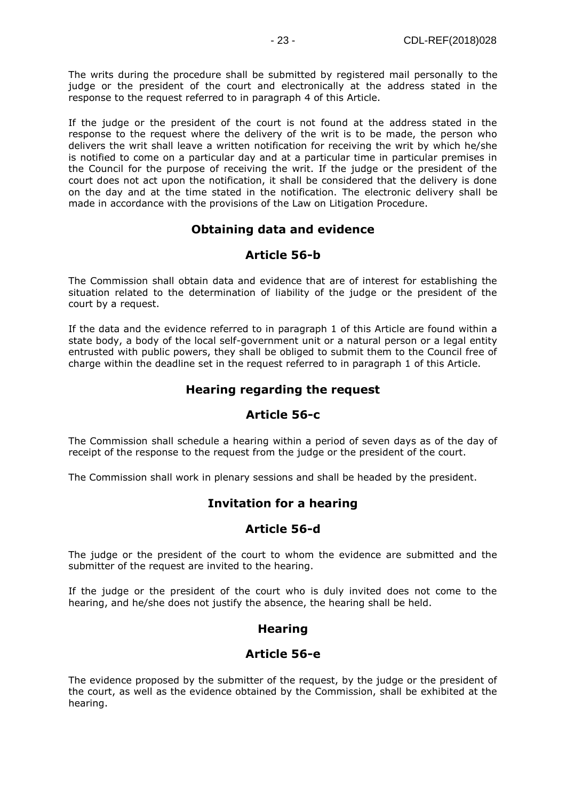The writs during the procedure shall be submitted by registered mail personally to the judge or the president of the court and electronically at the address stated in the response to the request referred to in paragraph 4 of this Article.

If the judge or the president of the court is not found at the address stated in the response to the request where the delivery of the writ is to be made, the person who delivers the writ shall leave a written notification for receiving the writ by which he/she is notified to come on a particular day and at a particular time in particular premises in the Council for the purpose of receiving the writ. If the judge or the president of the court does not act upon the notification, it shall be considered that the delivery is done on the day and at the time stated in the notification. The electronic delivery shall be made in accordance with the provisions of the Law on Litigation Procedure.

## **Obtaining data and evidence**

#### **Article 56-b**

The Commission shall obtain data and evidence that are of interest for establishing the situation related to the determination of liability of the judge or the president of the court by a request.

If the data and the evidence referred to in paragraph 1 of this Article are found within a state body, a body of the local self-government unit or a natural person or a legal entity entrusted with public powers, they shall be obliged to submit them to the Council free of charge within the deadline set in the request referred to in paragraph 1 of this Article.

## **Hearing regarding the request**

#### **Article 56-c**

The Commission shall schedule a hearing within a period of seven days as of the day of receipt of the response to the request from the judge or the president of the court.

The Commission shall work in plenary sessions and shall be headed by the president.

## **Invitation for a hearing**

#### **Article 56-d**

The judge or the president of the court to whom the evidence are submitted and the submitter of the request are invited to the hearing.

If the judge or the president of the court who is duly invited does not come to the hearing, and he/she does not justify the absence, the hearing shall be held.

#### **Hearing**

#### **Article 56-e**

The evidence proposed by the submitter of the request, by the judge or the president of the court, as well as the evidence obtained by the Commission, shall be exhibited at the hearing.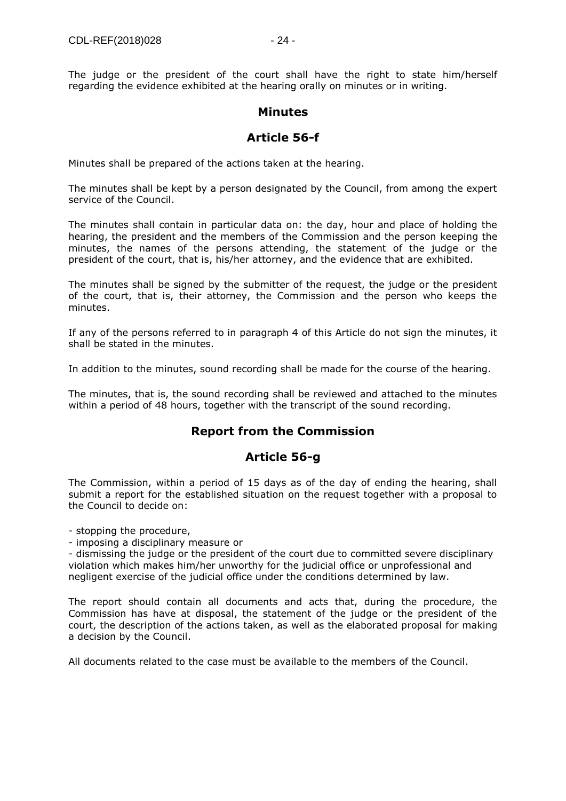The judge or the president of the court shall have the right to state him/herself regarding the evidence exhibited at the hearing orally on minutes or in writing.

#### **Minutes**

## **Article 56-f**

Minutes shall be prepared of the actions taken at the hearing.

The minutes shall be kept by a person designated by the Council, from among the expert service of the Council.

The minutes shall contain in particular data on: the day, hour and place of holding the hearing, the president and the members of the Commission and the person keeping the minutes, the names of the persons attending, the statement of the judge or the president of the court, that is, his/her attorney, and the evidence that are exhibited.

The minutes shall be signed by the submitter of the request, the judge or the president of the court, that is, their attorney, the Commission and the person who keeps the minutes.

If any of the persons referred to in paragraph 4 of this Article do not sign the minutes, it shall be stated in the minutes.

In addition to the minutes, sound recording shall be made for the course of the hearing.

The minutes, that is, the sound recording shall be reviewed and attached to the minutes within a period of 48 hours, together with the transcript of the sound recording.

## **Report from the Commission**

## **Article 56-g**

The Commission, within a period of 15 days as of the day of ending the hearing, shall submit a report for the established situation on the request together with a proposal to the Council to decide on:

- stopping the procedure,

- imposing a disciplinary measure or

- dismissing the judge or the president of the court due to committed severe disciplinary violation which makes him/her unworthy for the judicial office or unprofessional and negligent exercise of the judicial office under the conditions determined by law.

The report should contain all documents and acts that, during the procedure, the Commission has have at disposal, the statement of the judge or the president of the court, the description of the actions taken, as well as the elaborated proposal for making a decision by the Council.

All documents related to the case must be available to the members of the Council.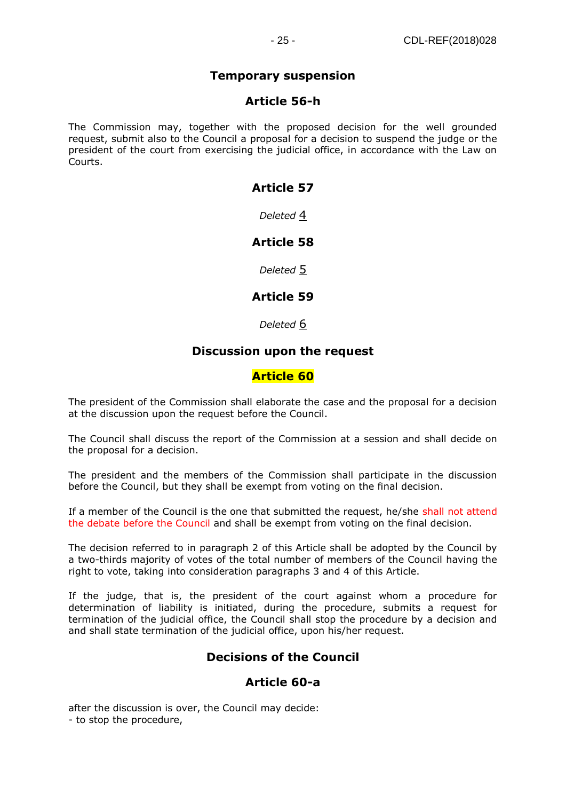## **Temporary suspension**

#### **Article 56-h**

The Commission may, together with the proposed decision for the well grounded request, submit also to the Council a proposal for a decision to suspend the judge or the president of the court from exercising the judicial office, in accordance with the Law on Courts.

## **Article 57**

*Deleted* [4](https://www.akademika.com.mk/)

## **Article 58**

*Deleted* [5](https://www.akademika.com.mk/)

## **Article 59**

*Deleted* [6](https://www.akademika.com.mk/)

## **Discussion upon the request**

## **Article 60**

The president of the Commission shall elaborate the case and the proposal for a decision at the discussion upon the request before the Council.

The Council shall discuss the report of the Commission at a session and shall decide on the proposal for a decision.

The president and the members of the Commission shall participate in the discussion before the Council, but they shall be exempt from voting on the final decision.

If a member of the Council is the one that submitted the request, he/she shall not attend the debate before the Council and shall be exempt from voting on the final decision.

The decision referred to in paragraph 2 of this Article shall be adopted by the Council by a two-thirds majority of votes of the total number of members of the Council having the right to vote, taking into consideration paragraphs 3 and 4 of this Article.

If the judge, that is, the president of the court against whom a procedure for determination of liability is initiated, during the procedure, submits a request for termination of the judicial office, the Council shall stop the procedure by a decision and and shall state termination of the judicial office, upon his/her request.

## **Decisions of the Council**

## **Article 60-a**

after the discussion is over, the Council may decide: - to stop the procedure,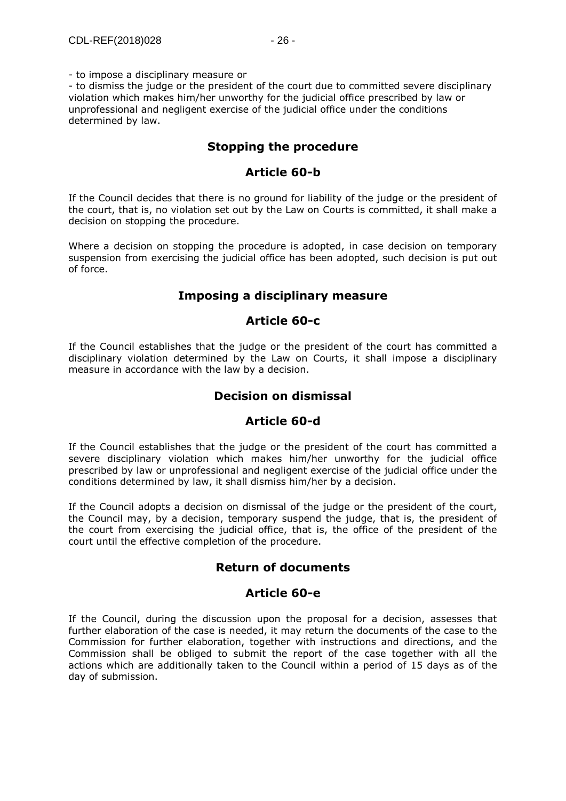- to impose a disciplinary measure or

- to dismiss the judge or the president of the court due to committed severe disciplinary violation which makes him/her unworthy for the judicial office prescribed by law or unprofessional and negligent exercise of the judicial office under the conditions determined by law.

#### **Stopping the procedure**

#### **Article 60-b**

If the Council decides that there is no ground for liability of the judge or the president of the court, that is, no violation set out by the Law on Courts is committed, it shall make a decision on stopping the procedure.

Where a decision on stopping the procedure is adopted, in case decision on temporary suspension from exercising the judicial office has been adopted, such decision is put out of force.

#### **Imposing a disciplinary measure**

#### **Article 60-c**

If the Council establishes that the judge or the president of the court has committed a disciplinary violation determined by the Law on Courts, it shall impose a disciplinary measure in accordance with the law by a decision.

#### **Decision on dismissal**

## **Article 60-d**

If the Council establishes that the judge or the president of the court has committed a severe disciplinary violation which makes him/her unworthy for the judicial office prescribed by law or unprofessional and negligent exercise of the judicial office under the conditions determined by law, it shall dismiss him/her by a decision.

If the Council adopts a decision on dismissal of the judge or the president of the court, the Council may, by a decision, temporary suspend the judge, that is, the president of the court from exercising the judicial office, that is, the office of the president of the court until the effective completion of the procedure.

#### **Return of documents**

#### **Article 60-e**

If the Council, during the discussion upon the proposal for a decision, assesses that further elaboration of the case is needed, it may return the documents of the case to the Commission for further elaboration, together with instructions and directions, and the Commission shall be obliged to submit the report of the case together with all the actions which are additionally taken to the Council within a period of 15 days as of the day of submission.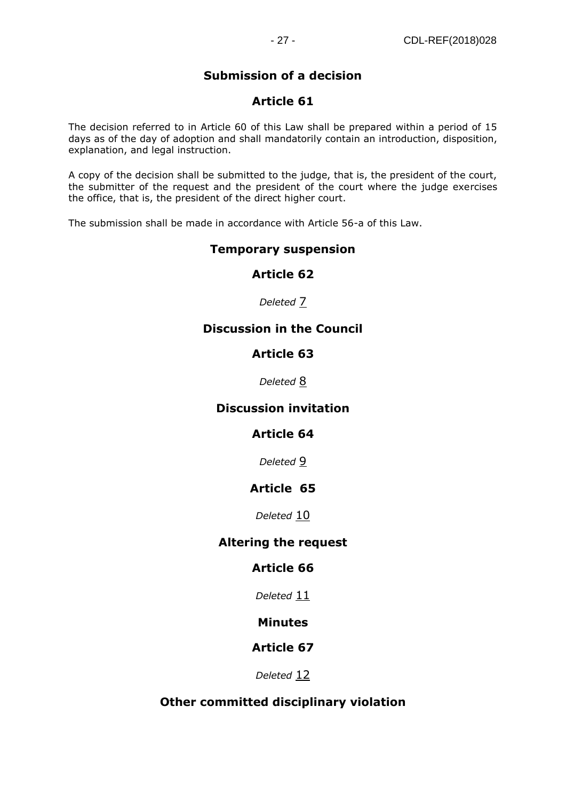# **Submission of a decision**

## **Article 61**

The decision referred to in Article 60 of this Law shall be prepared within a period of 15 days as of the day of adoption and shall mandatorily contain an introduction, disposition, explanation, and legal instruction.

A copy of the decision shall be submitted to the judge, that is, the president of the court, the submitter of the request and the president of the court where the judge exercises the office, that is, the president of the direct higher court.

The submission shall be made in accordance with Article 56-a of this Law.

#### **Temporary suspension**

#### **Article 62**

#### *Deleted* [7](https://www.akademika.com.mk/)

## **Discussion in the Council**

## **Article 63**

*Deleted* [8](https://www.akademika.com.mk/)

#### **Discussion invitation**

## **Article 64**

*Deleted* [9](https://www.akademika.com.mk/)

#### **Article 65**

*Deleted* [10](https://www.akademika.com.mk/)

#### **Altering the request**

## **Article 66**

*Deleted* [11](https://www.akademika.com.mk/)

#### **Minutes**

## **Article 67**

*Deleted* [12](https://www.akademika.com.mk/)

## **Other committed disciplinary violation**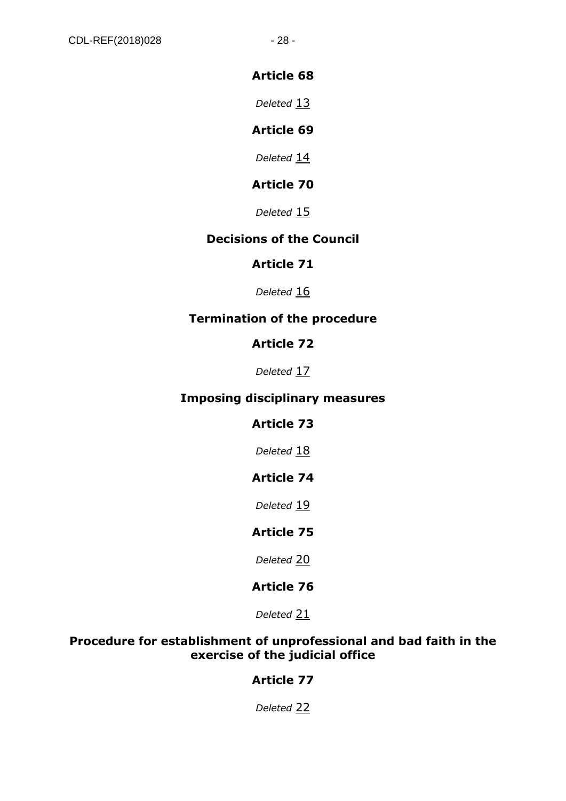## **Article 68**

*Deleted* [13](https://www.akademika.com.mk/)

## **Article 69**

*Deleted* [14](https://www.akademika.com.mk/)

## **Article 70**

*Deleted* [15](https://www.akademika.com.mk/)

## **Decisions of the Council**

## **Article 71**

*Deleted* [16](https://www.akademika.com.mk/)

## **Termination of the procedure**

## **Article 72**

*Deleted* [17](https://www.akademika.com.mk/)

## **Imposing disciplinary measures**

## **Article 73**

Deleted [18](https://www.akademika.com.mk/)

## **Article 74**

*Deleted* [19](https://www.akademika.com.mk/)

## **Article 75**

*Deleted* [20](https://www.akademika.com.mk/)

## **Article 76**

*Deleted* [21](https://www.akademika.com.mk/)

## **Procedure for establishment of unprofessional and bad faith in the exercise of the judicial office**

## **Article 77**

*Deleted* [22](https://www.akademika.com.mk/)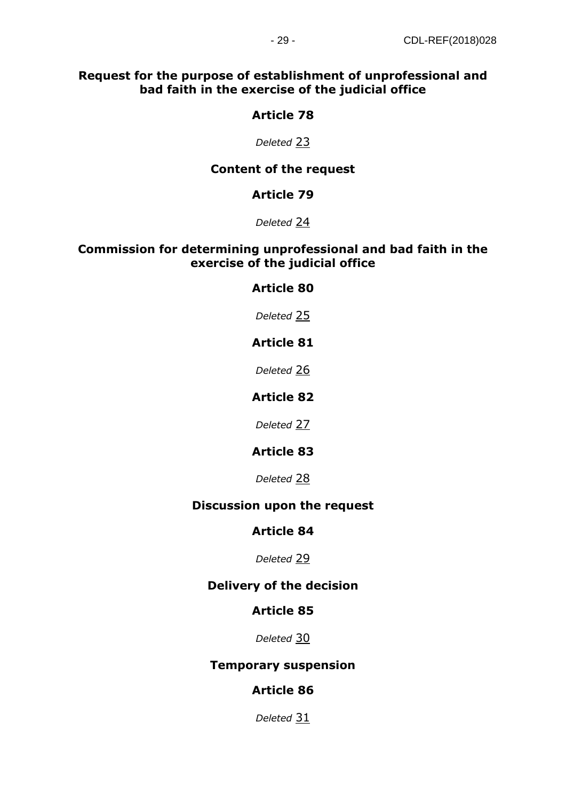## **Request for the purpose of establishment of unprofessional and bad faith in the exercise of the judicial office**

## **Article 78**

*Deleted* [23](https://www.akademika.com.mk/)

## **Content of the request**

## **Article 79**

*Deleted* [24](https://www.akademika.com.mk/)

#### **Commission for determining unprofessional and bad faith in the exercise of the judicial office**

## **Article 80**

*Deleted* [25](https://www.akademika.com.mk/)

## **Article 81**

*Deleted* [26](https://www.akademika.com.mk/)

## **Article 82**

*Deleted* [27](https://www.akademika.com.mk/)

## **Article 83**

*Deleted* [28](https://www.akademika.com.mk/)

## **Discussion upon the request**

#### **Article 84**

*Deleted* [29](https://www.akademika.com.mk/)

## **Delivery of the decision**

## **Article 85**

*Deleted* [30](https://www.akademika.com.mk/)

## **Temporary suspension**

## **Article 86**

*Deleted* [31](https://www.akademika.com.mk/)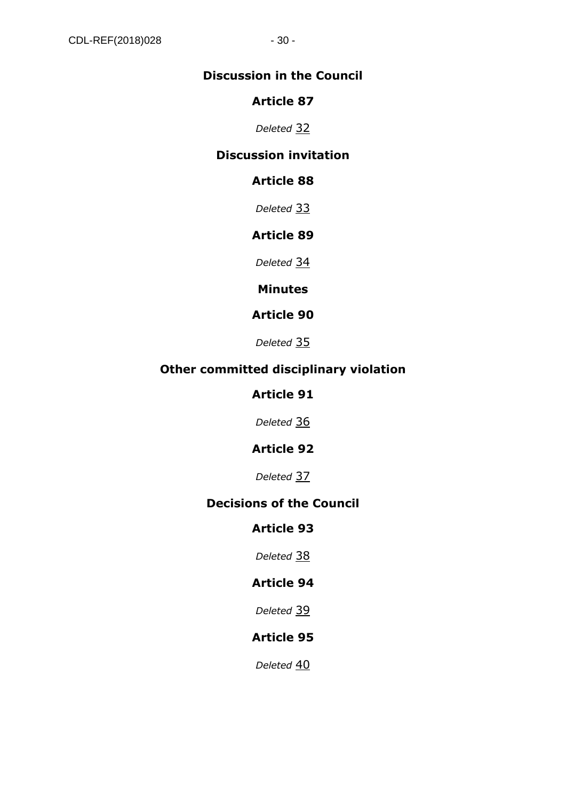## **Discussion in the Council**

## **Article 87**

*Deleted* [32](https://www.akademika.com.mk/)

## **Discussion invitation**

## **Article 88**

*Deleted* [33](https://www.akademika.com.mk/)

## **Article 89**

*Deleted* [34](https://www.akademika.com.mk/)

**Minutes**

## **Article 90**

*Deleted* [35](https://www.akademika.com.mk/)

## **Other committed disciplinary violation**

## **Article 91**

*Deleted* [36](https://www.akademika.com.mk/)

## **Article 92**

*Deleted* [37](https://www.akademika.com.mk/)

## **Decisions of the Council**

## **Article 93**

*Deleted* [38](https://www.akademika.com.mk/)

## **Article 94**

*Deleted* [39](https://www.akademika.com.mk/)

# **Article 95**

*Deleted* [40](https://www.akademika.com.mk/)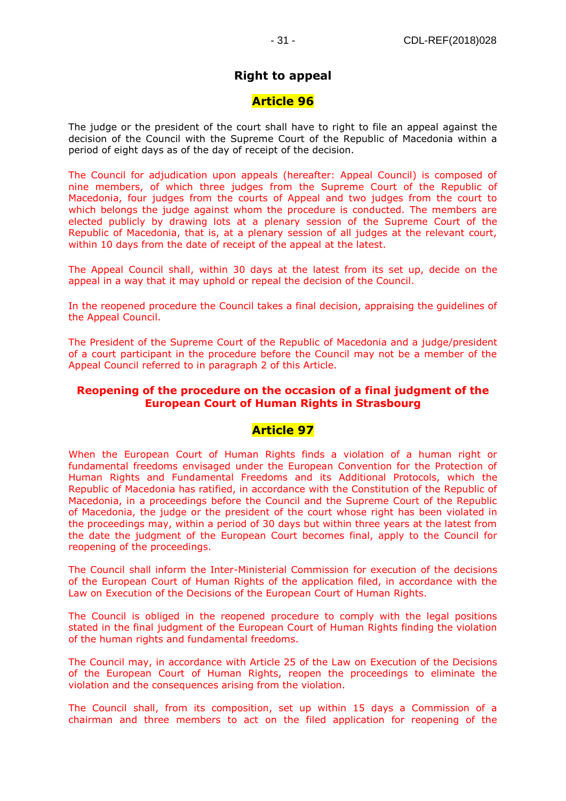## **Right to appeal**

#### **Article 96**

The judge or the president of the court shall have to right to file an appeal against the decision of the Council with the Supreme Court of the Republic of Macedonia within a period of eight days as of the day of receipt of the decision.

The Council for adjudication upon appeals (hereafter: Appeal Council) is composed of nine members, of which three judges from the Supreme Court of the Republic of Macedonia, four judges from the courts of Appeal and two judges from the court to which belongs the judge against whom the procedure is conducted. The members are elected publicly by drawing lots at a plenary session of the Supreme Court of the Republic of Macedonia, that is, at a plenary session of all judges at the relevant court, within 10 days from the date of receipt of the appeal at the latest.

The Appeal Council shall, within 30 days at the latest from its set up, decide on the appeal in a way that it may uphold or repeal the decision of the Council.

In the reopened procedure the Council takes a final decision, appraising the guidelines of the Appeal Council.

The President of the Supreme Court of the Republic of Macedonia and a judge/president of a court participant in the procedure before the Council may not be a member of the Appeal Council referred to in paragraph 2 of this Article.

#### **Reopening of the procedure on the occasion of a final judgment of the European Court of Human Rights in Strasbourg**

#### **Article 97**

When the European Court of Human Rights finds a violation of a human right or fundamental freedoms envisaged under the European Convention for the Protection of Human Rights and Fundamental Freedoms and its Additional Protocols, which the Republic of Macedonia has ratified, in accordance with the Constitution of the Republic of Macedonia, in a proceedings before the Council and the Supreme Court of the Republic of Macedonia, the judge or the president of the court whose right has been violated in the proceedings may, within a period of 30 days but within three years at the latest from the date the judgment of the European Court becomes final, apply to the Council for reopening of the proceedings.

The Council shall inform the Inter-Ministerial Commission for execution of the decisions of the European Court of Human Rights of the application filed, in accordance with the Law on Execution of the Decisions of the European Court of Human Rights.

The Council is obliged in the reopened procedure to comply with the legal positions stated in the final judgment of the European Court of Human Rights finding the violation of the human rights and fundamental freedoms.

The Council may, in accordance with Article 25 of the Law on Execution of the Decisions of the European Court of Human Rights, reopen the proceedings to eliminate the violation and the consequences arising from the violation.

The Council shall, from its composition, set up within 15 days a Commission of a chairman and three members to act on the filed application for reopening of the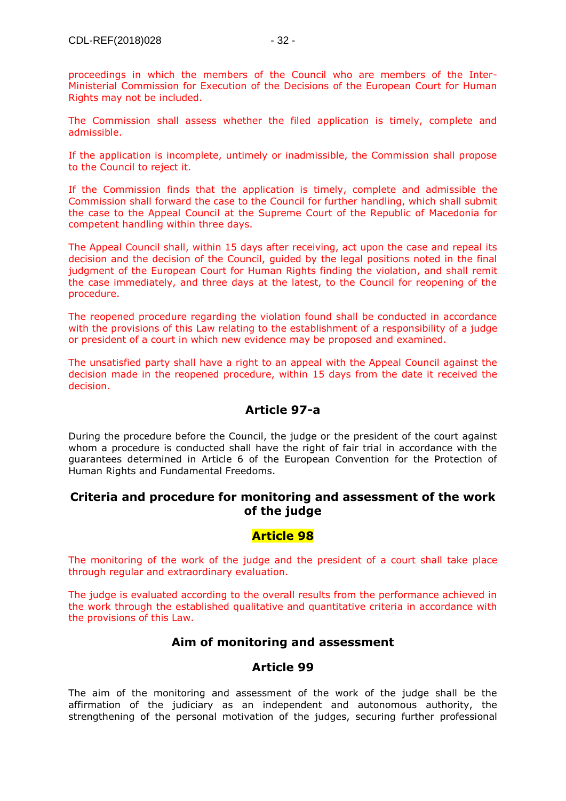proceedings in which the members of the Council who are members of the Inter-Ministerial Commission for Execution of the Decisions of the European Court for Human Rights may not be included.

The Commission shall assess whether the filed application is timely, complete and admissible.

If the application is incomplete, untimely or inadmissible, the Commission shall propose to the Council to reject it.

If the Commission finds that the application is timely, complete and admissible the Commission shall forward the case to the Council for further handling, which shall submit the case to the Appeal Council at the Supreme Court of the Republic of Macedonia for competent handling within three days.

The Appeal Council shall, within 15 days after receiving, act upon the case and repeal its decision and the decision of the Council, guided by the legal positions noted in the final judgment of the European Court for Human Rights finding the violation, and shall remit the case immediately, and three days at the latest, to the Council for reopening of the procedure.

The reopened procedure regarding the violation found shall be conducted in accordance with the provisions of this Law relating to the establishment of a responsibility of a judge or president of a court in which new evidence may be proposed and examined.

The unsatisfied party shall have a right to an appeal with the Appeal Council against the decision made in the reopened procedure, within 15 days from the date it received the decision.

## **Article 97-a**

During the procedure before the Council, the judge or the president of the court against whom a procedure is conducted shall have the right of fair trial in accordance with the guarantees determined in Article 6 of the European Convention for the Protection of Human Rights and Fundamental Freedoms.

#### **Criteria and procedure for monitoring and assessment of the work of the judge**

## **Article 98**

The monitoring of the work of the judge and the president of a court shall take place through regular and extraordinary evaluation.

The judge is evaluated according to the overall results from the performance achieved in the work through the established qualitative and quantitative criteria in accordance with the provisions of this Law.

## **Aim of monitoring and assessment**

## **Article 99**

The aim of the monitoring and assessment of the work of the judge shall be the affirmation of the judiciary as an independent and autonomous authority, the strengthening of the personal motivation of the judges, securing further professional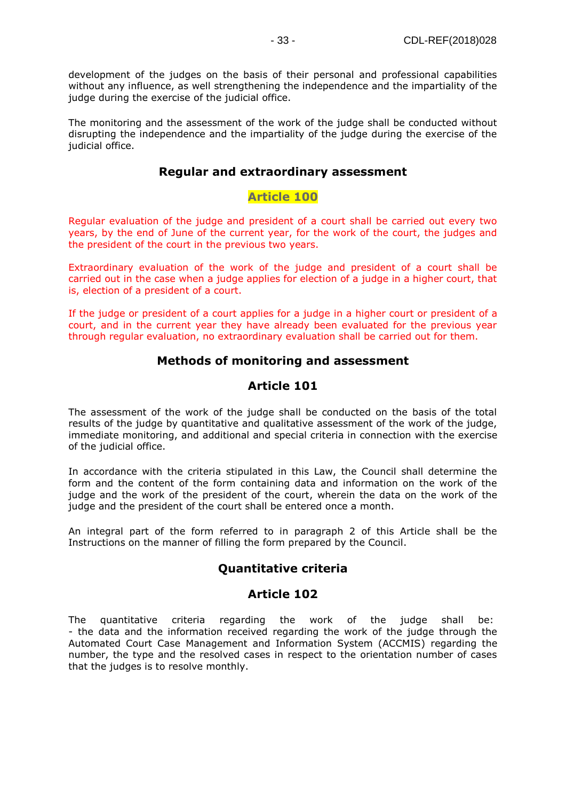development of the judges on the basis of their personal and professional capabilities without any influence, as well strengthening the independence and the impartiality of the judge during the exercise of the judicial office.

The monitoring and the assessment of the work of the judge shall be conducted without disrupting the independence and the impartiality of the judge during the exercise of the judicial office.

#### **Regular and extraordinary assessment**

#### **Article 100**

Regular evaluation of the judge and president of a court shall be carried out every two years, by the end of June of the current year, for the work of the court, the judges and the president of the court in the previous two years.

Extraordinary evaluation of the work of the judge and president of a court shall be carried out in the case when a judge applies for election of a judge in a higher court, that is, election of a president of a court.

If the judge or president of a court applies for a judge in a higher court or president of a court, and in the current year they have already been evaluated for the previous year through regular evaluation, no extraordinary evaluation shall be carried out for them.

#### **Methods of monitoring and assessment**

#### **Article 101**

The assessment of the work of the judge shall be conducted on the basis of the total results of the judge by quantitative and qualitative assessment of the work of the judge, immediate monitoring, and additional and special criteria in connection with the exercise of the judicial office.

In accordance with the criteria stipulated in this Law, the Council shall determine the form and the content of the form containing data and information on the work of the judge and the work of the president of the court, wherein the data on the work of the judge and the president of the court shall be entered once a month.

An integral part of the form referred to in paragraph 2 of this Article shall be the Instructions on the manner of filling the form prepared by the Council.

#### **Quantitative criteria**

#### **Article 102**

The quantitative criteria regarding the work of the judge shall be: - the data and the information received regarding the work of the judge through the Automated Court Case Management and Information System (ACCMIS) regarding the number, the type and the resolved cases in respect to the orientation number of cases that the judges is to resolve monthly.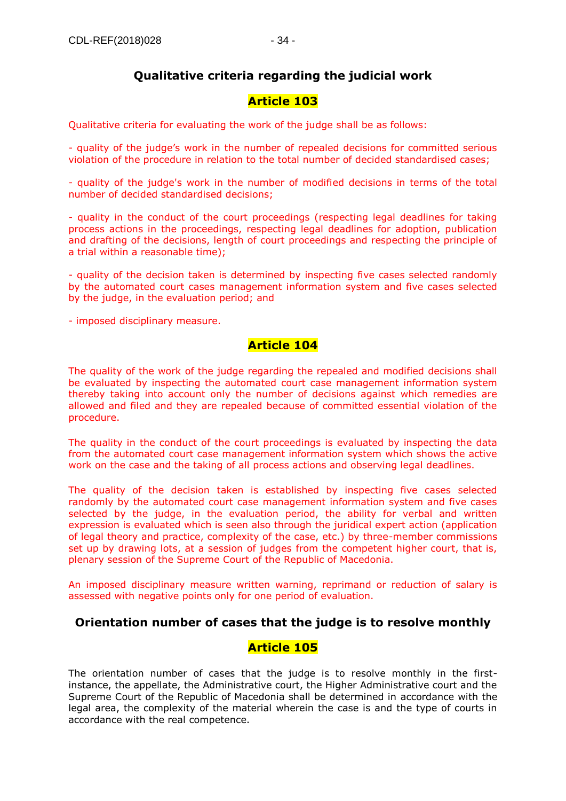## **Qualitative criteria regarding the judicial work**

## **Article 103**

Qualitative criteria for evaluating the work of the judge shall be as follows:

- quality of the judge's work in the number of repealed decisions for committed serious violation of the procedure in relation to the total number of decided standardised cases;

- quality of the judge's work in the number of modified decisions in terms of the total number of decided standardised decisions;

- quality in the conduct of the court proceedings (respecting legal deadlines for taking process actions in the proceedings, respecting legal deadlines for adoption, publication and drafting of the decisions, length of court proceedings and respecting the principle of a trial within a reasonable time);

- quality of the decision taken is determined by inspecting five cases selected randomly by the automated court cases management information system and five cases selected by the judge, in the evaluation period; and

- imposed disciplinary measure.

#### **Article 104**

The quality of the work of the judge regarding the repealed and modified decisions shall be evaluated by inspecting the automated court case management information system thereby taking into account only the number of decisions against which remedies are allowed and filed and they are repealed because of committed essential violation of the procedure.

The quality in the conduct of the court proceedings is evaluated by inspecting the data from the automated court case management information system which shows the active work on the case and the taking of all process actions and observing legal deadlines.

The quality of the decision taken is established by inspecting five cases selected randomly by the automated court case management information system and five cases selected by the judge, in the evaluation period, the ability for verbal and written expression is evaluated which is seen also through the juridical expert action (application of legal theory and practice, complexity of the case, etc.) by three-member commissions set up by drawing lots, at a session of judges from the competent higher court, that is, plenary session of the Supreme Court of the Republic of Macedonia.

An imposed disciplinary measure written warning, reprimand or reduction of salary is assessed with negative points only for one period of evaluation.

#### **Orientation number of cases that the judge is to resolve monthly**

#### **Article 105**

The orientation number of cases that the judge is to resolve monthly in the firstinstance, the appellate, the Administrative court, the Higher Administrative court and the Supreme Court of the Republic of Macedonia shall be determined in accordance with the legal area, the complexity of the material wherein the case is and the type of courts in accordance with the real competence.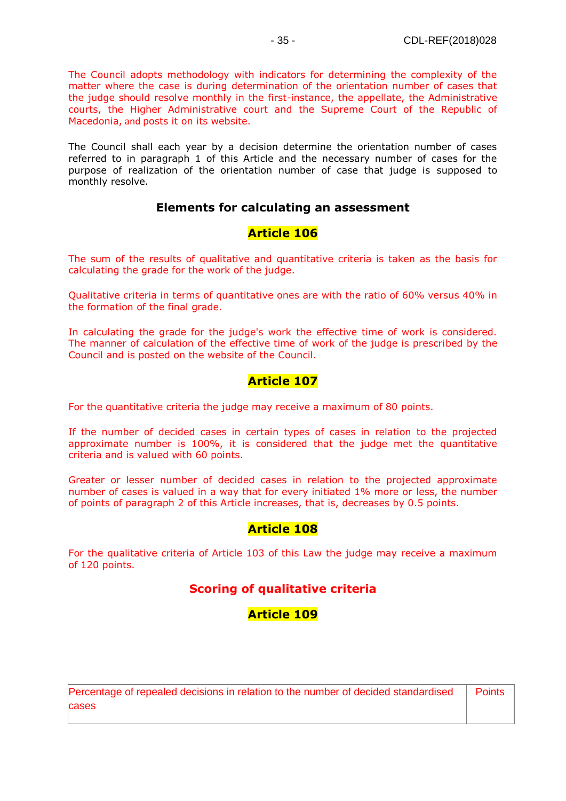The Council adopts methodology with indicators for determining the complexity of the matter where the case is during determination of the orientation number of cases that the judge should resolve monthly in the first-instance, the appellate, the Administrative courts, the Higher Administrative court and the Supreme Court of the Republic of Macedonia, and posts it on its website.

The Council shall each year by a decision determine the orientation number of cases referred to in paragraph 1 of this Article and the necessary number of cases for the purpose of realization of the orientation number of case that judge is supposed to monthly resolve.

#### **Elements for calculating an assessment**

#### **Article 106**

The sum of the results of qualitative and quantitative criteria is taken as the basis for calculating the grade for the work of the judge.

Qualitative criteria in terms of quantitative ones are with the ratio of 60% versus 40% in the formation of the final grade.

In calculating the grade for the judge's work the effective time of work is considered. The manner of calculation of the effective time of work of the judge is prescribed by the Council and is posted on the website of the Council.

#### **Article 107**

For the quantitative criteria the judge may receive a maximum of 80 points.

If the number of decided cases in certain types of cases in relation to the projected approximate number is 100%, it is considered that the judge met the quantitative criteria and is valued with 60 points.

Greater or lesser number of decided cases in relation to the projected approximate number of cases is valued in a way that for every initiated 1% more or less, the number of points of paragraph 2 of this Article increases, that is, decreases by 0.5 points.

#### **Article 108**

For the qualitative criteria of Article 103 of this Law the judge may receive a maximum of 120 points.

## **Scoring of qualitative criteria**

## **Article 109**

| Percentage of repealed decisions in relation to the number of decided standardised   Points |  |
|---------------------------------------------------------------------------------------------|--|
| cases                                                                                       |  |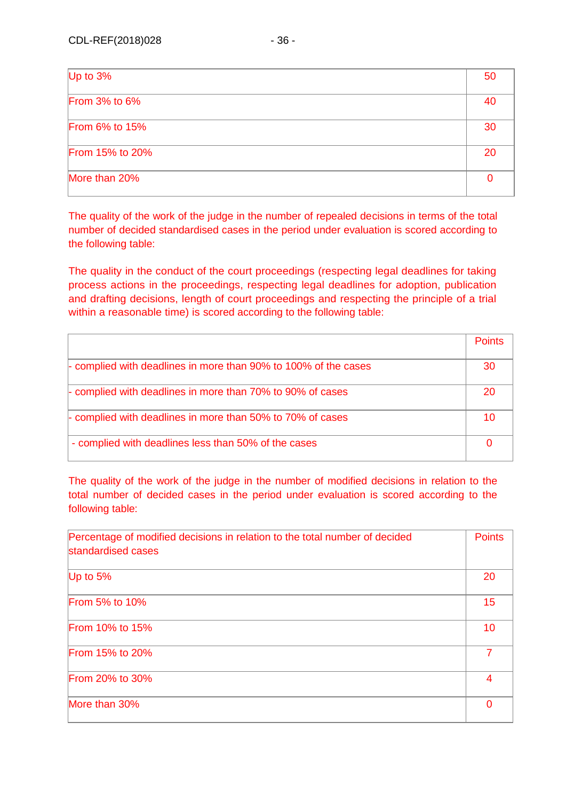| Up to 3%              | 50 |  |
|-----------------------|----|--|
| <b>From 3% to 6%</b>  | 40 |  |
| <b>From 6% to 15%</b> | 30 |  |
| From 15% to 20%       | 20 |  |
| More than 20%         |    |  |

The quality of the work of the judge in the number of repealed decisions in terms of the total number of decided standardised cases in the period under evaluation is scored according to the following table:

The quality in the conduct of the court proceedings (respecting legal deadlines for taking process actions in the proceedings, respecting legal deadlines for adoption, publication and drafting decisions, length of court proceedings and respecting the principle of a trial within a reasonable time) is scored according to the following table:

|                                                                        | <b>Points</b> |
|------------------------------------------------------------------------|---------------|
| - complied with deadlines in more than 90% to 100% of the cases        | -30           |
| - complied with deadlines in more than 70% to 90% of cases             | 20            |
| $\frac{1}{2}$ complied with deadlines in more than 50% to 70% of cases | 10            |
| - complied with deadlines less than 50% of the cases                   |               |

The quality of the work of the judge in the number of modified decisions in relation to the total number of decided cases in the period under evaluation is scored according to the following table:

| Percentage of modified decisions in relation to the total number of decided<br>standardised cases | <b>Points</b> |
|---------------------------------------------------------------------------------------------------|---------------|
| Up to $5%$                                                                                        | 20            |
| <b>From 5% to 10%</b>                                                                             | 15            |
| <b>From 10% to 15%</b>                                                                            | 10            |
| <b>From 15% to 20%</b>                                                                            | 7             |
| <b>From 20% to 30%</b>                                                                            | 4             |
| More than 30%                                                                                     | O             |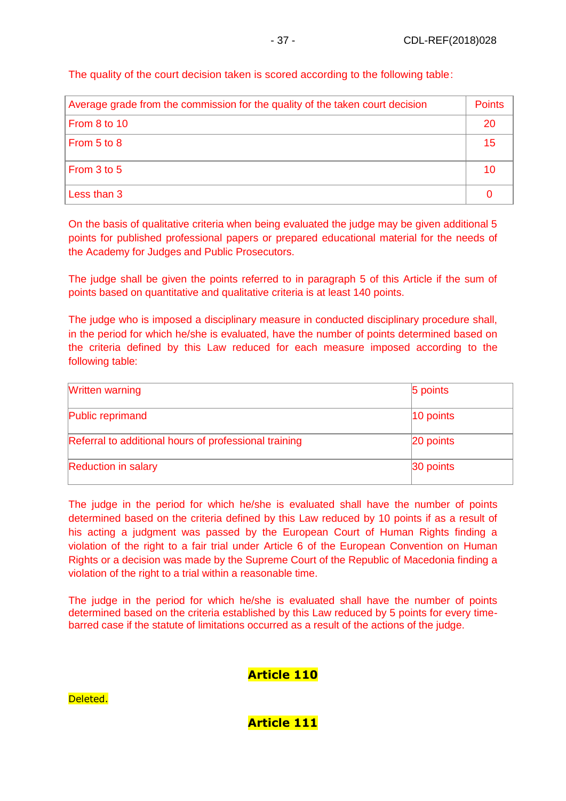The quality of the court decision taken is scored according to the following table:

| Average grade from the commission for the quality of the taken court decision |    |
|-------------------------------------------------------------------------------|----|
| From 8 to 10                                                                  | 20 |
| From 5 to 8                                                                   | 15 |
| From 3 to 5                                                                   | 10 |
| Less than 3                                                                   |    |

On the basis of qualitative criteria when being evaluated the judge may be given additional 5 points for published professional papers or prepared educational material for the needs of the Academy for Judges and Public Prosecutors.

The judge shall be given the points referred to in paragraph 5 of this Article if the sum of points based on quantitative and qualitative criteria is at least 140 points.

The judge who is imposed a disciplinary measure in conducted disciplinary procedure shall, in the period for which he/she is evaluated, have the number of points determined based on the criteria defined by this Law reduced for each measure imposed according to the following table:

| <b>Written warning</b>                                | 5 points     |
|-------------------------------------------------------|--------------|
| Public reprimand                                      | $ 10$ points |
| Referral to additional hours of professional training | 20 points    |
| <b>Reduction in salary</b>                            | 30 points    |

The judge in the period for which he/she is evaluated shall have the number of points determined based on the criteria defined by this Law reduced by 10 points if as a result of his acting a judgment was passed by the European Court of Human Rights finding a violation of the right to a fair trial under Article 6 of the European Convention on Human Rights or a decision was made by the Supreme Court of the Republic of Macedonia finding a violation of the right to a trial within a reasonable time.

The judge in the period for which he/she is evaluated shall have the number of points determined based on the criteria established by this Law reduced by 5 points for every timebarred case if the statute of limitations occurred as a result of the actions of the judge.

## **Article 110**

**Article 111**

Deleted.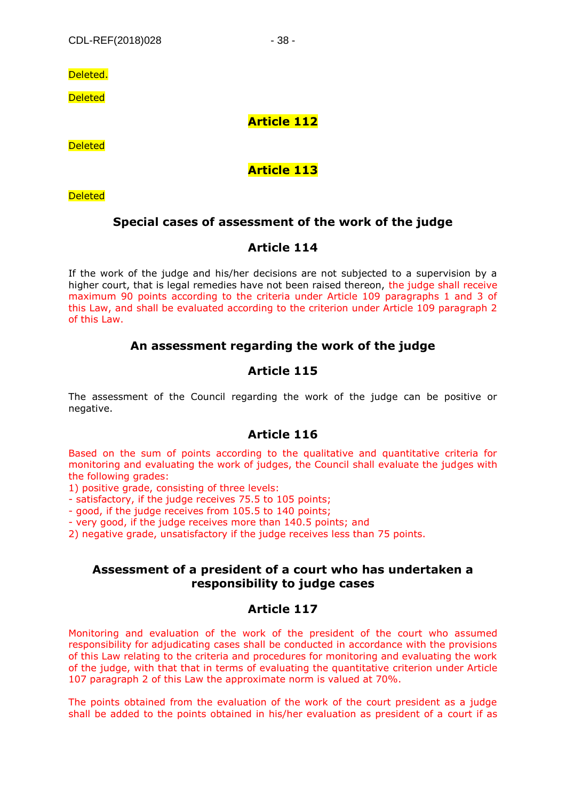Deleted.

**Deleted** 

#### **Article 112**

**Deleted** 

## **Article 113**

**Deleted** 

## **Special cases of assessment of the work of the judge**

## **Article 114**

If the work of the judge and his/her decisions are not subjected to a supervision by a higher court, that is legal remedies have not been raised thereon, the judge shall receive maximum 90 points according to the criteria under Article 109 paragraphs 1 and 3 of this Law, and shall be evaluated according to the criterion under Article 109 paragraph 2 of this Law.

## **An assessment regarding the work of the judge**

## **Article 115**

The assessment of the Council regarding the work of the judge can be positive or negative.

#### **Article 116**

Based on the sum of points according to the qualitative and quantitative criteria for monitoring and evaluating the work of judges, the Council shall evaluate the judges with the following grades:

1) positive grade, consisting of three levels:

- satisfactory, if the judge receives 75.5 to 105 points;

- good, if the judge receives from 105.5 to 140 points;

- very good, if the judge receives more than 140.5 points; and

2) negative grade, unsatisfactory if the judge receives less than 75 points.

#### **Assessment of a president of a court who has undertaken a responsibility to judge cases**

#### **Article 117**

Monitoring and evaluation of the work of the president of the court who assumed responsibility for adjudicating cases shall be conducted in accordance with the provisions of this Law relating to the criteria and procedures for monitoring and evaluating the work of the judge, with that that in terms of evaluating the quantitative criterion under Article 107 paragraph 2 of this Law the approximate norm is valued at 70%.

The points obtained from the evaluation of the work of the court president as a judge shall be added to the points obtained in his/her evaluation as president of a court if as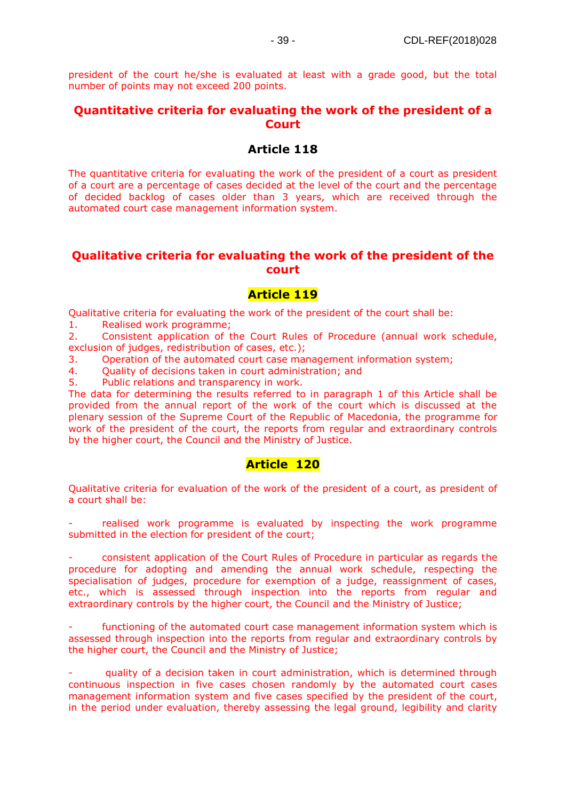president of the court he/she is evaluated at least with a grade good, but the total number of points may not exceed 200 points.

#### **Quantitative criteria for evaluating the work of the president of a Court**

#### **Article 118**

The quantitative criteria for evaluating the work of the president of a court as president of a court are a percentage of cases decided at the level of the court and the percentage of decided backlog of cases older than 3 years, which are received through the automated court case management information system.

#### **Qualitative criteria for evaluating the work of the president of the court**

#### **Article 119**

Qualitative criteria for evaluating the work of the president of the court shall be:

1. Realised work programme;

2. Consistent application of the Court Rules of Procedure (annual work schedule, exclusion of judges, redistribution of cases, etc.);

3. Operation of the automated court case management information system;

4. Quality of decisions taken in court administration; and

5. Public relations and transparency in work.

The data for determining the results referred to in paragraph 1 of this Article shall be provided from the annual report of the work of the court which is discussed at the plenary session of the Supreme Court of the Republic of Macedonia, the programme for work of the president of the court, the reports from regular and extraordinary controls by the higher court, the Council and the Ministry of Justice.

#### **Article 120**

Qualitative criteria for evaluation of the work of the president of a court, as president of a court shall be:

realised work programme is evaluated by inspecting the work programme submitted in the election for president of the court;

- consistent application of the Court Rules of Procedure in particular as regards the procedure for adopting and amending the annual work schedule, respecting the specialisation of judges, procedure for exemption of a judge, reassignment of cases, etc., which is assessed through inspection into the reports from regular and extraordinary controls by the higher court, the Council and the Ministry of Justice;

functioning of the automated court case management information system which is assessed through inspection into the reports from regular and extraordinary controls by the higher court, the Council and the Ministry of Justice;

- quality of a decision taken in court administration, which is determined through continuous inspection in five cases chosen randomly by the automated court cases management information system and five cases specified by the president of the court, in the period under evaluation, thereby assessing the legal ground, legibility and clarity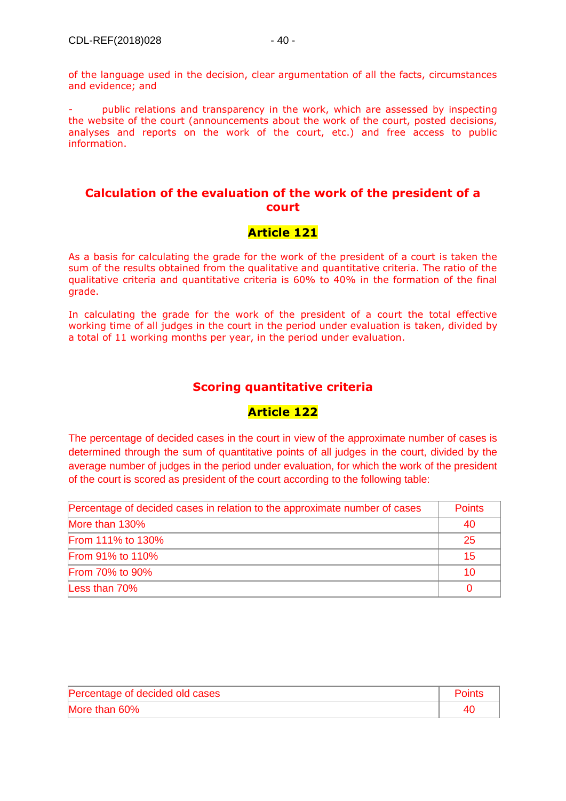public relations and transparency in the work, which are assessed by inspecting the website of the court (announcements about the work of the court, posted decisions, analyses and reports on the work of the court, etc.) and free access to public information.

#### **Calculation of the evaluation of the work of the president of a court**

## **Article 121**

As a basis for calculating the grade for the work of the president of a court is taken the sum of the results obtained from the qualitative and quantitative criteria. The ratio of the qualitative criteria and quantitative criteria is 60% to 40% in the formation of the final grade.

In calculating the grade for the work of the president of a court the total effective working time of all judges in the court in the period under evaluation is taken, divided by a total of 11 working months per year, in the period under evaluation.

## **Scoring quantitative criteria**

#### **Article 122**

The percentage of decided cases in the court in view of the approximate number of cases is determined through the sum of quantitative points of all judges in the court, divided by the average number of judges in the period under evaluation, for which the work of the president of the court is scored as president of the court according to the following table:

| Percentage of decided cases in relation to the approximate number of cases |    |
|----------------------------------------------------------------------------|----|
| More than 130%                                                             | 40 |
| <b>From 111% to 130%</b>                                                   | 25 |
| <b>From 91% to 110%</b>                                                    | 15 |
| <b>From 70% to 90%</b>                                                     | 10 |
| Less than 70%                                                              |    |

| Percentage of decided old cases | <b>Points</b> |
|---------------------------------|---------------|
| More than 60%                   |               |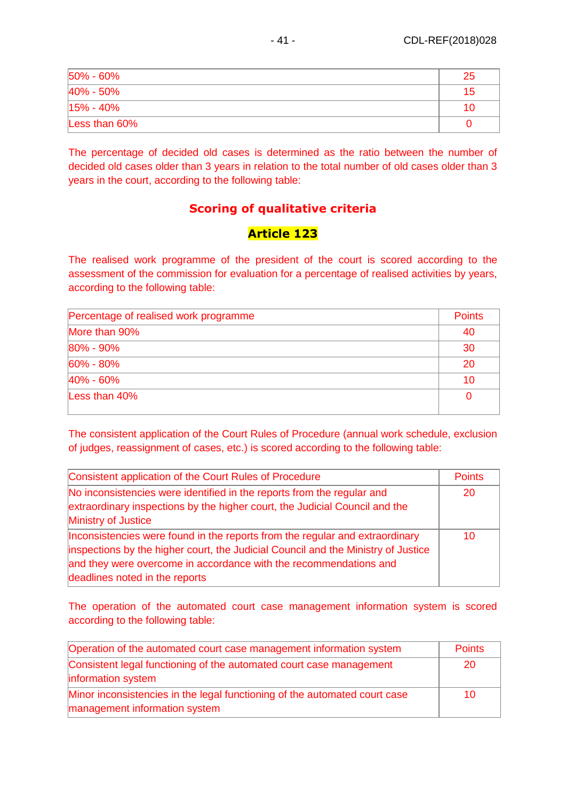| $50\% - 60\%$  | 25 |
|----------------|----|
| 40% - 50%      | 15 |
| $ 15\% - 40\%$ | 10 |
| Less than 60%  |    |

The percentage of decided old cases is determined as the ratio between the number of decided old cases older than 3 years in relation to the total number of old cases older than 3 years in the court, according to the following table:

## **Scoring of qualitative criteria**

## **Article 123**

The realised work programme of the president of the court is scored according to the assessment of the commission for evaluation for a percentage of realised activities by years, according to the following table:

Percentage of realised work programme

| More than 90% | 40 |
|---------------|----|
| 80% - 90%     | 30 |
| 60% - 80%     | 20 |
| 40% - 60%     | 10 |
| Less than 40% |    |

The consistent application of the Court Rules of Procedure (annual work schedule, exclusion of judges, reassignment of cases, etc.) is scored according to the following table:

| Consistent application of the Court Rules of Procedure                                                                                                                                                                                                                   | <b>Points</b> |
|--------------------------------------------------------------------------------------------------------------------------------------------------------------------------------------------------------------------------------------------------------------------------|---------------|
| No inconsistencies were identified in the reports from the regular and<br>extraordinary inspections by the higher court, the Judicial Council and the<br>Ministry of Justice                                                                                             | <b>20</b>     |
| Inconsistencies were found in the reports from the regular and extraordinary<br>inspections by the higher court, the Judicial Council and the Ministry of Justice<br>and they were overcome in accordance with the recommendations and<br>deadlines noted in the reports | 10            |

The operation of the automated court case management information system is scored according to the following table:

| Operation of the automated court case management information system                                         | <b>Points</b> |
|-------------------------------------------------------------------------------------------------------------|---------------|
| Consistent legal functioning of the automated court case management<br>information system                   | 20            |
| Minor inconsistencies in the legal functioning of the automated court case<br>management information system | 10            |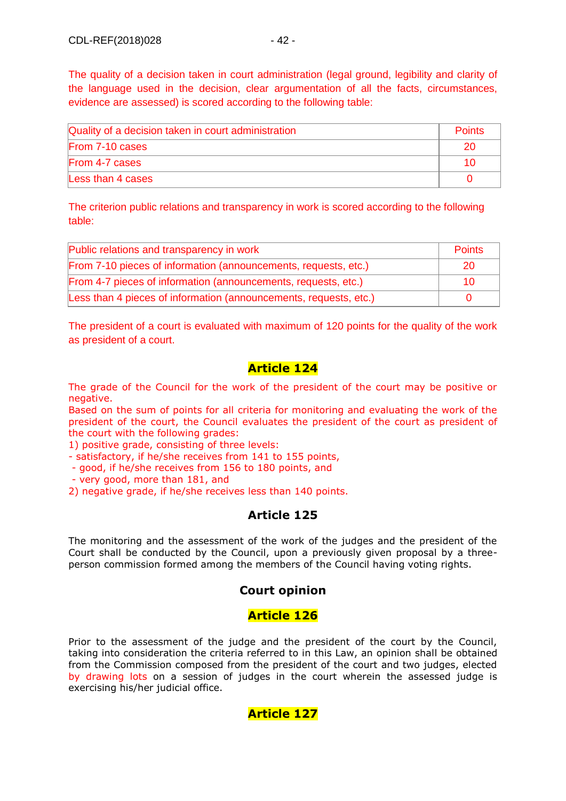The quality of a decision taken in court administration (legal ground, legibility and clarity of the language used in the decision, clear argumentation of all the facts, circumstances, evidence are assessed) is scored according to the following table:

| Quality of a decision taken in court administration | <b>Points</b> |
|-----------------------------------------------------|---------------|
| From 7-10 cases                                     | 20            |
| From 4-7 cases                                      |               |
| Less than 4 cases                                   |               |

The criterion public relations and transparency in work is scored according to the following table:

| Public relations and transparency in work                         | Points |
|-------------------------------------------------------------------|--------|
| From 7-10 pieces of information (announcements, requests, etc.)   | 20     |
| From 4-7 pieces of information (announcements, requests, etc.)    | 10.    |
| Less than 4 pieces of information (announcements, requests, etc.) |        |

The president of a court is evaluated with maximum of 120 points for the quality of the work as president of a court.

## **Article 124**

The grade of the Council for the work of the president of the court may be positive or negative.

Based on the sum of points for all criteria for monitoring and evaluating the work of the president of the court, the Council evaluates the president of the court as president of the court with the following grades:

1) positive grade, consisting of three levels:

- satisfactory, if he/she receives from 141 to 155 points,

- good, if he/she receives from 156 to 180 points, and

- very good, more than 181, and

2) negative grade, if he/she receives less than 140 points.

## **Article 125**

The monitoring and the assessment of the work of the judges and the president of the Court shall be conducted by the Council, upon a previously given proposal by a threeperson commission formed among the members of the Council having voting rights.

## **Court opinion**

## **Article 126**

Prior to the assessment of the judge and the president of the court by the Council, taking into consideration the criteria referred to in this Law, an opinion shall be obtained from the Commission composed from the president of the court and two judges, elected by drawing lots on a session of judges in the court wherein the assessed judge is exercising his/her judicial office.

#### **Article 127**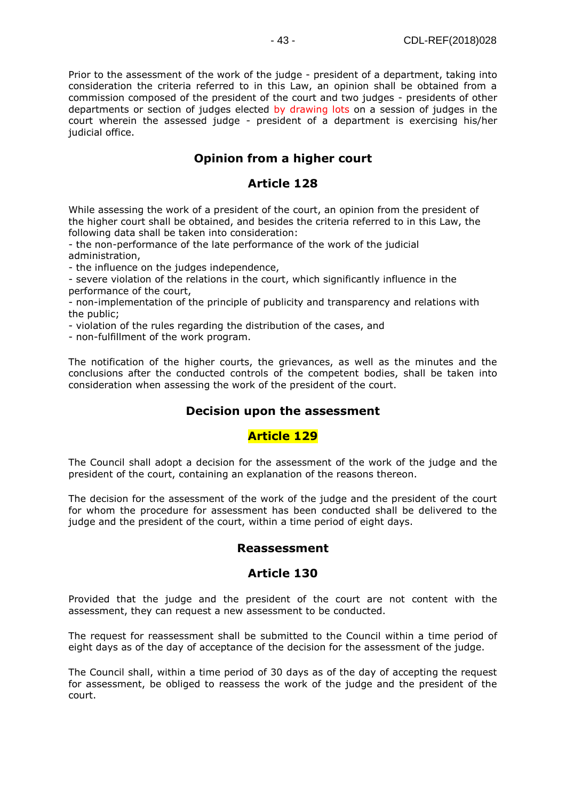Prior to the assessment of the work of the judge - president of a department, taking into consideration the criteria referred to in this Law, an opinion shall be obtained from a commission composed of the president of the court and two judges - presidents of other departments or section of judges elected by drawing lots on a session of judges in the court wherein the assessed judge - president of a department is exercising his/her judicial office.

## **Opinion from a higher court**

#### **Article 128**

While assessing the work of a president of the court, an opinion from the president of the higher court shall be obtained, and besides the criteria referred to in this Law, the following data shall be taken into consideration:

- the non-performance of the late performance of the work of the judicial administration,

- the influence on the judges independence,

- severe violation of the relations in the court, which significantly influence in the performance of the court,

- non-implementation of the principle of publicity and transparency and relations with the public;

- violation of the rules regarding the distribution of the cases, and

- non-fulfillment of the work program.

The notification of the higher courts, the grievances, as well as the minutes and the conclusions after the conducted controls of the competent bodies, shall be taken into consideration when assessing the work of the president of the court.

#### **Decision upon the assessment**

#### **Article 129**

The Council shall adopt a decision for the assessment of the work of the judge and the president of the court, containing an explanation of the reasons thereon.

The decision for the assessment of the work of the judge and the president of the court for whom the procedure for assessment has been conducted shall be delivered to the judge and the president of the court, within a time period of eight days.

#### **Reassessment**

#### **Article 130**

Provided that the judge and the president of the court are not content with the assessment, they can request a new assessment to be conducted.

The request for reassessment shall be submitted to the Council within a time period of eight days as of the day of acceptance of the decision for the assessment of the judge.

The Council shall, within a time period of 30 days as of the day of accepting the request for assessment, be obliged to reassess the work of the judge and the president of the court.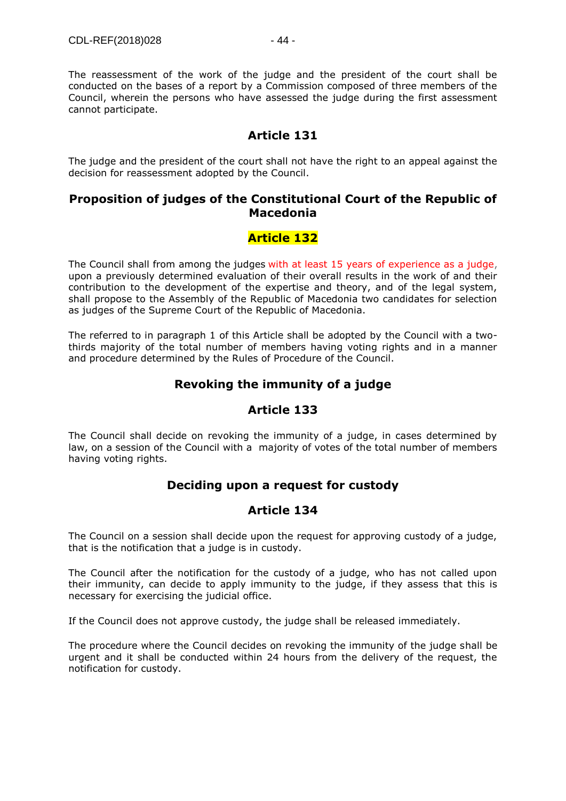The reassessment of the work of the judge and the president of the court shall be conducted on the bases of a report by a Commission composed of three members of the Council, wherein the persons who have assessed the judge during the first assessment cannot participate.

#### **Article 131**

The judge and the president of the court shall not have the right to an appeal against the decision for reassessment adopted by the Council.

#### **Proposition of judges of the Constitutional Court of the Republic of Macedonia**

## **Article 132**

The Council shall from among the judges with at least 15 years of experience as a judge, upon a previously determined evaluation of their overall results in the work of and their contribution to the development of the expertise and theory, and of the legal system, shall propose to the Assembly of the Republic of Macedonia two candidates for selection as judges of the Supreme Court of the Republic of Macedonia.

The referred to in paragraph 1 of this Article shall be adopted by the Council with a twothirds majority of the total number of members having voting rights and in a manner and procedure determined by the Rules of Procedure of the Council.

#### **Revoking the immunity of a judge**

## **Article 133**

The Council shall decide on revoking the immunity of a judge, in cases determined by law, on a session of the Council with a majority of votes of the total number of members having voting rights.

#### **Deciding upon a request for custody**

#### **Article 134**

The Council on a session shall decide upon the request for approving custody of a judge, that is the notification that a judge is in custody.

The Council after the notification for the custody of a judge, who has not called upon their immunity, can decide to apply immunity to the judge, if they assess that this is necessary for exercising the judicial office.

If the Council does not approve custody, the judge shall be released immediately.

The procedure where the Council decides on revoking the immunity of the judge shall be urgent and it shall be conducted within 24 hours from the delivery of the request, the notification for custody.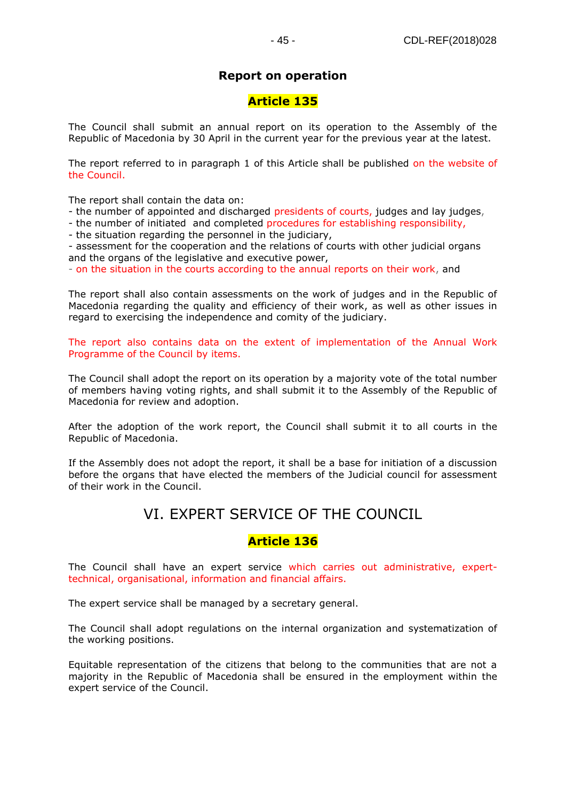#### **Report on operation**

#### **Article 135**

The Council shall submit an annual report on its operation to the Assembly of the Republic of Macedonia by 30 April in the current year for the previous year at the latest.

The report referred to in paragraph 1 of this Article shall be published on the website of the Council.

The report shall contain the data on:

- the number of appointed and discharged presidents of courts, judges and lay judges,
- the number of initiated and completed procedures for establishing responsibility,
- the situation regarding the personnel in the judiciary,

- assessment for the cooperation and the relations of courts with other judicial organs and the organs of the legislative and executive power,

- on the situation in the courts according to the annual reports on their work, and

The report shall also contain assessments on the work of judges and in the Republic of Macedonia regarding the quality and efficiency of their work, as well as other issues in regard to exercising the independence and comity of the judiciary.

The report also contains data on the extent of implementation of the Annual Work Programme of the Council by items.

The Council shall adopt the report on its operation by a majority vote of the total number of members having voting rights, and shall submit it to the Assembly of the Republic of Macedonia for review and adoption.

After the adoption of the work report, the Council shall submit it to all courts in the Republic of Macedonia.

If the Assembly does not adopt the report, it shall be a base for initiation of a discussion before the organs that have elected the members of the Judicial council for assessment of their work in the Council.

# VI. EXPERT SERVICE OF THE COUNCIL

#### **Article 136**

The Council shall have an expert service which carries out administrative, experttechnical, organisational, information and financial affairs.

The expert service shall be managed by a secretary general.

The Council shall adopt regulations on the internal organization and systematization of the working positions.

Equitable representation of the citizens that belong to the communities that are not a majority in the Republic of Macedonia shall be ensured in the employment within the expert service of the Council.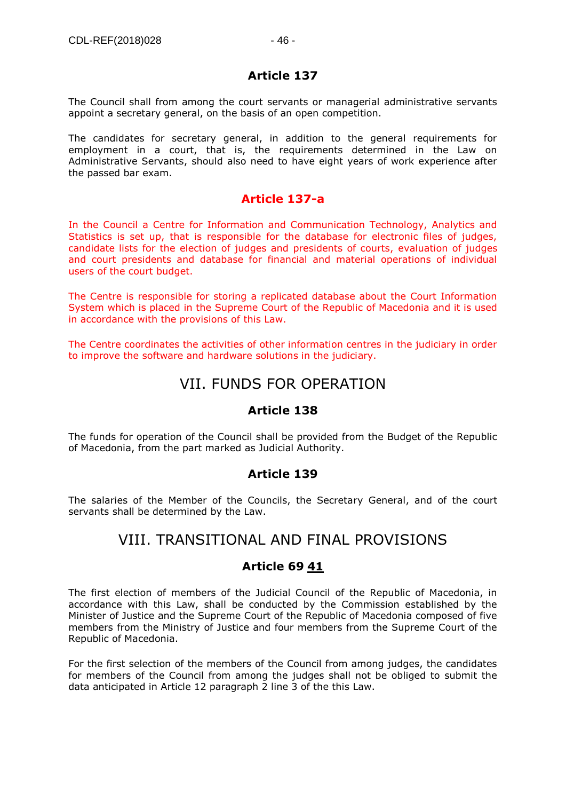## **Article 137**

The Council shall from among the court servants or managerial administrative servants appoint a secretary general, on the basis of an open competition.

The candidates for secretary general, in addition to the general requirements for employment in a court, that is, the requirements determined in the Law on Administrative Servants, should also need to have eight years of work experience after the passed bar exam.

## **Article 137-a**

In the Council a Centre for Information and Communication Technology, Analytics and Statistics is set up, that is responsible for the database for electronic files of judges, candidate lists for the election of judges and presidents of courts, evaluation of judges and court presidents and database for financial and material operations of individual users of the court budget.

The Centre is responsible for storing a replicated database about the Court Information System which is placed in the Supreme Court of the Republic of Macedonia and it is used in accordance with the provisions of this Law.

The Centre coordinates the activities of other information centres in the judiciary in order to improve the software and hardware solutions in the judiciary.

# VII. FUNDS FOR OPERATION

## **Article 138**

The funds for operation of the Council shall be provided from the Budget of the Republic of Macedonia, from the part marked as Judicial Authority.

## **Article 139**

The salaries of the Member of the Councils, the Secretary General, and of the court servants shall be determined by the Law.

# VIII. TRANSITIONAL AND FINAL PROVISIONS

## **Article 69 [41](https://www.akademika.com.mk/)**

The first election of members of the Judicial Council of the Republic of Macedonia, in accordance with this Law, shall be conducted by the Commission established by the Minister of Justice and the Supreme Court of the Republic of Macedonia composed of five members from the Ministry of Justice and four members from the Supreme Court of the Republic of Macedonia.

For the first selection of the members of the Council from among judges, the candidates for members of the Council from among the judges shall not be obliged to submit the data anticipated in Article 12 paragraph 2 line 3 of the this Law.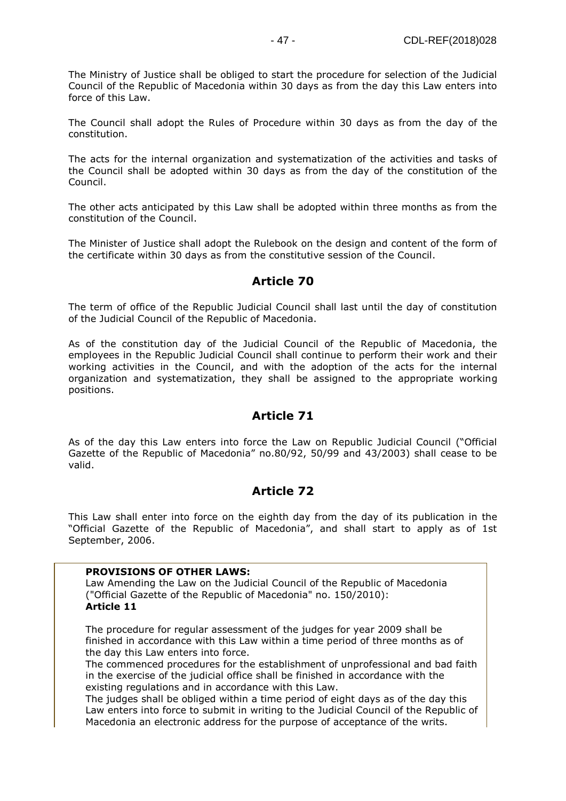The Ministry of Justice shall be obliged to start the procedure for selection of the Judicial Council of the Republic of Macedonia within 30 days as from the day this Law enters into force of this Law.

The Council shall adopt the Rules of Procedure within 30 days as from the day of the constitution.

The acts for the internal organization and systematization of the activities and tasks of the Council shall be adopted within 30 days as from the day of the constitution of the Council.

The other acts anticipated by this Law shall be adopted within three months as from the constitution of the Council.

The Minister of Justice shall adopt the Rulebook on the design and content of the form of the certificate within 30 days as from the constitutive session of the Council.

#### **Article 70**

The term of office of the Republic Judicial Council shall last until the day of constitution of the Judicial Council of the Republic of Macedonia.

As of the constitution day of the Judicial Council of the Republic of Macedonia, the employees in the Republic Judicial Council shall continue to perform their work and their working activities in the Council, and with the adoption of the acts for the internal organization and systematization, they shall be assigned to the appropriate working positions.

#### **Article 71**

As of the day this Law enters into force the Law on Republic Judicial Council ("Official Gazette of the Republic of Macedonia" no.80/92, 50/99 and 43/2003) shall cease to be valid.

#### **Article 72**

This Law shall enter into force on the eighth day from the day of its publication in the "Official Gazette of the Republic of Macedonia", and shall start to apply as of 1st September, 2006.

#### **PROVISIONS OF OTHER LAWS:**

Law Amending the Law on the Judicial Council of the Republic of Macedonia ("Official Gazette of the Republic of Macedonia" no. 150/2010): **Article 11**

The procedure for regular assessment of the judges for year 2009 shall be finished in accordance with this Law within a time period of three months as of the day this Law enters into force.

The commenced procedures for the establishment of unprofessional and bad faith in the exercise of the judicial office shall be finished in accordance with the existing regulations and in accordance with this Law.

The judges shall be obliged within a time period of eight days as of the day this Law enters into force to submit in writing to the Judicial Council of the Republic of Macedonia an electronic address for the purpose of acceptance of the writs.